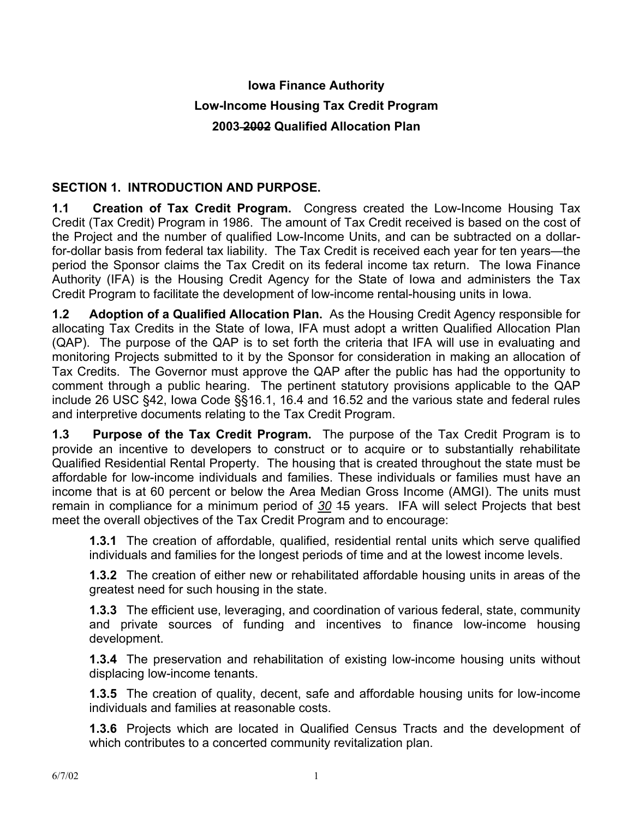# **Iowa Finance Authority Low-Income Housing Tax Credit Program 2003 2002 Qualified Allocation Plan**

## **SECTION 1. INTRODUCTION AND PURPOSE.**

**1.1 Creation of Tax Credit Program.** Congress created the Low-Income Housing Tax Credit (Tax Credit) Program in 1986. The amount of Tax Credit received is based on the cost of the Project and the number of qualified Low-Income Units, and can be subtracted on a dollarfor-dollar basis from federal tax liability. The Tax Credit is received each year for ten years—the period the Sponsor claims the Tax Credit on its federal income tax return. The Iowa Finance Authority (IFA) is the Housing Credit Agency for the State of Iowa and administers the Tax Credit Program to facilitate the development of low-income rental-housing units in Iowa.

**1.2 Adoption of a Qualified Allocation Plan.** As the Housing Credit Agency responsible for allocating Tax Credits in the State of Iowa, IFA must adopt a written Qualified Allocation Plan (QAP). The purpose of the QAP is to set forth the criteria that IFA will use in evaluating and monitoring Projects submitted to it by the Sponsor for consideration in making an allocation of Tax Credits. The Governor must approve the QAP after the public has had the opportunity to comment through a public hearing. The pertinent statutory provisions applicable to the QAP include 26 USC §42, Iowa Code §§16.1, 16.4 and 16.52 and the various state and federal rules and interpretive documents relating to the Tax Credit Program.

**1.3 Purpose of the Tax Credit Program.** The purpose of the Tax Credit Program is to provide an incentive to developers to construct or to acquire or to substantially rehabilitate Qualified Residential Rental Property. The housing that is created throughout the state must be affordable for low-income individuals and families. These individuals or families must have an income that is at 60 percent or below the Area Median Gross Income (AMGI). The units must remain in compliance for a minimum period of *30* 15 years. IFA will select Projects that best meet the overall objectives of the Tax Credit Program and to encourage:

**1.3.1** The creation of affordable, qualified, residential rental units which serve qualified individuals and families for the longest periods of time and at the lowest income levels.

**1.3.2** The creation of either new or rehabilitated affordable housing units in areas of the greatest need for such housing in the state.

**1.3.3** The efficient use, leveraging, and coordination of various federal, state, community and private sources of funding and incentives to finance low-income housing development.

**1.3.4** The preservation and rehabilitation of existing low-income housing units without displacing low-income tenants.

**1.3.5** The creation of quality, decent, safe and affordable housing units for low-income individuals and families at reasonable costs.

**1.3.6** Projects which are located in Qualified Census Tracts and the development of which contributes to a concerted community revitalization plan.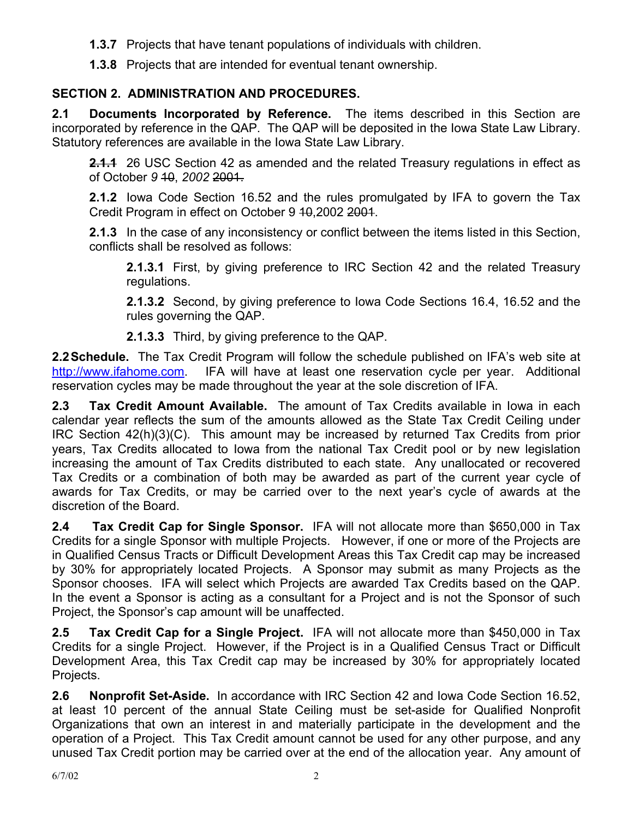- **1.3.7** Projects that have tenant populations of individuals with children.
- **1.3.8** Projects that are intended for eventual tenant ownership.

# **SECTION 2. ADMINISTRATION AND PROCEDURES.**

**2.1 Documents Incorporated by Reference.** The items described in this Section are incorporated by reference in the QAP. The QAP will be deposited in the Iowa State Law Library. Statutory references are available in the Iowa State Law Library.

**2.1.1** 26 USC Section 42 as amended and the related Treasury regulations in effect as of October *9* 10, *2002* 2001.

**2.1.2** Iowa Code Section 16.52 and the rules promulgated by IFA to govern the Tax Credit Program in effect on October 9 10, 2002 2001.

**2.1.3** In the case of any inconsistency or conflict between the items listed in this Section, conflicts shall be resolved as follows:

**2.1.3.1** First, by giving preference to IRC Section 42 and the related Treasury regulations.

**2.1.3.2** Second, by giving preference to Iowa Code Sections 16.4, 16.52 and the rules governing the QAP.

**2.1.3.3** Third, by giving preference to the QAP.

**2.2 Schedule.** The Tax Credit Program will follow the schedule published on IFA's web site at http://www.ifahome.com. IFA will have at least one reservation cycle per year. Additional reservation cycles may be made throughout the year at the sole discretion of IFA.

**2.3 Tax Credit Amount Available.** The amount of Tax Credits available in Iowa in each calendar year reflects the sum of the amounts allowed as the State Tax Credit Ceiling under IRC Section 42(h)(3)(C). This amount may be increased by returned Tax Credits from prior years, Tax Credits allocated to Iowa from the national Tax Credit pool or by new legislation increasing the amount of Tax Credits distributed to each state.Any unallocated or recovered Tax Credits or a combination of both may be awarded as part of the current year cycle of awards for Tax Credits, or may be carried over to the next year's cycle of awards at the discretion of the Board.

**2.4 Tax Credit Cap for Single Sponsor.** IFA will not allocate more than \$650,000 in Tax Credits for a single Sponsor with multiple Projects. However, if one or more of the Projects are in Qualified Census Tracts or Difficult Development Areas this Tax Credit cap may be increased by 30% for appropriately located Projects. A Sponsor may submit as many Projects as the Sponsor chooses. IFA will select which Projects are awarded Tax Credits based on the QAP. In the event a Sponsor is acting as a consultant for a Project and is not the Sponsor of such Project, the Sponsor's cap amount will be unaffected.

**2.5 Tax Credit Cap for a Single Project.** IFA will not allocate more than \$450,000 in Tax Credits for a single Project. However, if the Project is in a Qualified Census Tract or Difficult Development Area, this Tax Credit cap may be increased by 30% for appropriately located Projects.

**2.6 Nonprofit Set-Aside.** In accordance with IRC Section 42 and Iowa Code Section 16.52, at least 10 percent of the annual State Ceiling must be set-aside for Qualified Nonprofit Organizations that own an interest in and materially participate in the development and the operation of a Project. This Tax Credit amount cannot be used for any other purpose, and any unused Tax Credit portion may be carried over at the end of the allocation year. Any amount of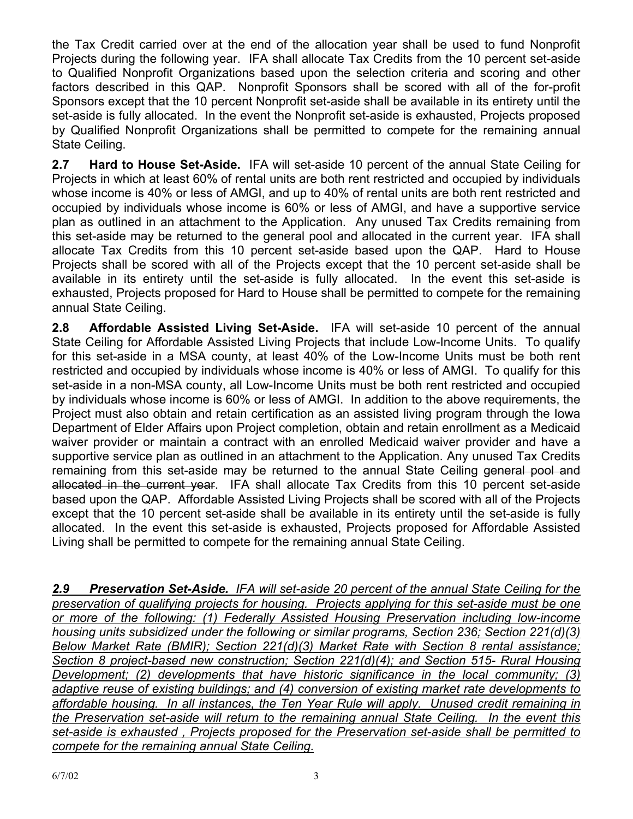the Tax Credit carried over at the end of the allocation year shall be used to fund Nonprofit Projects during the following year. IFA shall allocate Tax Credits from the 10 percent set-aside to Qualified Nonprofit Organizations based upon the selection criteria and scoring and other factors described in this QAP. Nonprofit Sponsors shall be scored with all of the for-profit Sponsors except that the 10 percent Nonprofit set-aside shall be available in its entirety until the set-aside is fully allocated. In the event the Nonprofit set-aside is exhausted, Projects proposed by Qualified Nonprofit Organizations shall be permitted to compete for the remaining annual State Ceiling.

**2.7 Hard to House Set-Aside.** IFA will set-aside 10 percent of the annual State Ceiling for Projects in which at least 60% of rental units are both rent restricted and occupied by individuals whose income is 40% or less of AMGI, and up to 40% of rental units are both rent restricted and occupied by individuals whose income is 60% or less of AMGI, and have a supportive service plan as outlined in an attachment to the Application. Any unused Tax Credits remaining from this set-aside may be returned to the general pool and allocated in the current year. IFA shall allocate Tax Credits from this 10 percent set-aside based upon the QAP. Hard to House Projects shall be scored with all of the Projects except that the 10 percent set-aside shall be available in its entirety until the set-aside is fully allocated. In the event this set-aside is exhausted, Projects proposed for Hard to House shall be permitted to compete for the remaining annual State Ceiling.

**2.8 Affordable Assisted Living Set-Aside.** IFA will set-aside 10 percent of the annual State Ceiling for Affordable Assisted Living Projects that include Low-Income Units. To qualify for this set-aside in a MSA county, at least 40% of the Low-Income Units must be both rent restricted and occupied by individuals whose income is 40% or less of AMGI. To qualify for this set-aside in a non-MSA county, all Low-Income Units must be both rent restricted and occupied by individuals whose income is 60% or less of AMGI. In addition to the above requirements, the Project must also obtain and retain certification as an assisted living program through the Iowa Department of Elder Affairs upon Project completion, obtain and retain enrollment as a Medicaid waiver provider or maintain a contract with an enrolled Medicaid waiver provider and have a supportive service plan as outlined in an attachment to the Application. Any unused Tax Credits remaining from this set-aside may be returned to the annual State Ceiling general pool and allocated in the current year. IFA shall allocate Tax Credits from this 10 percent set-aside based upon the QAP. Affordable Assisted Living Projects shall be scored with all of the Projects except that the 10 percent set-aside shall be available in its entirety until the set-aside is fully allocated. In the event this set-aside is exhausted, Projects proposed for Affordable Assisted Living shall be permitted to compete for the remaining annual State Ceiling.

*2.9 Preservation Set-Aside. IFA will set-aside 20 percent of the annual State Ceiling for the preservation of qualifying projects for housing. Projects applying for this set-aside must be one or more of the following: (1) Federally Assisted Housing Preservation including low-income housing units subsidized under the following or similar programs, Section 236; Section 221(d)(3) Below Market Rate (BMIR); Section 221(d)(3) Market Rate with Section 8 rental assistance; Section 8 project-based new construction; Section 221(d)(4); and Section 515- Rural Housing Development; (2) developments that have historic significance in the local community; (3) adaptive reuse of existing buildings; and (4) conversion of existing market rate developments to affordable housing. In all instances, the Ten Year Rule will apply. Unused credit remaining in the Preservation set-aside will return to the remaining annual State Ceiling. In the event this set-aside is exhausted , Projects proposed for the Preservation set-aside shall be permitted to compete for the remaining annual State Ceiling.*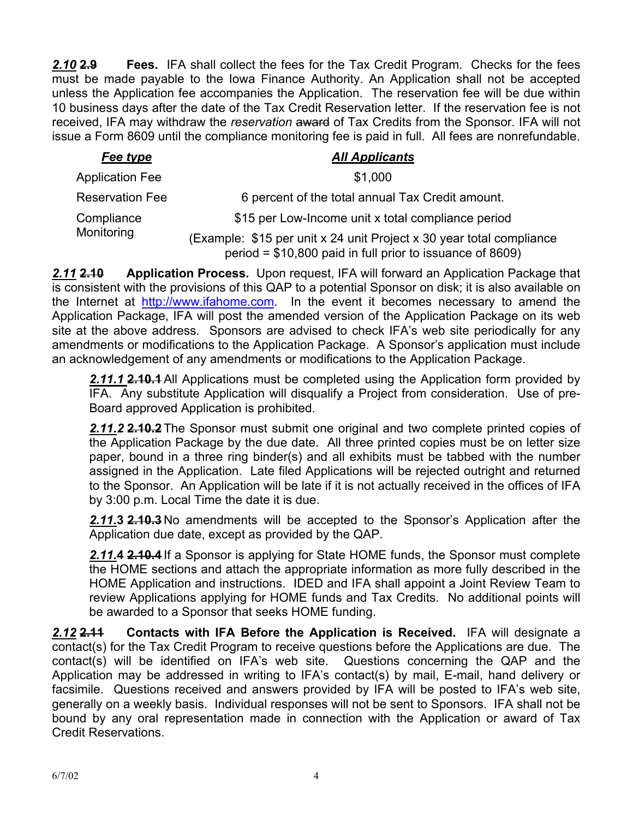*2.10* **2.9 Fees.** IFA shall collect the fees for the Tax Credit Program. Checks for the fees must be made payable to the Iowa Finance Authority. An Application shall not be accepted unless the Application fee accompanies the Application. The reservation fee will be due within 10 business days after the date of the Tax Credit Reservation letter. If the reservation fee is not received, IFA may withdraw the *reservation* award of Tax Credits from the Sponsor. IFA will not issue a Form 8609 until the compliance monitoring fee is paid in full. All fees are nonrefundable.

| Fee type                 | <b>All Applicants</b>                                                                                                             |
|--------------------------|-----------------------------------------------------------------------------------------------------------------------------------|
| <b>Application Fee</b>   | \$1,000                                                                                                                           |
| <b>Reservation Fee</b>   | 6 percent of the total annual Tax Credit amount.                                                                                  |
| Compliance<br>Monitoring | \$15 per Low-Income unit x total compliance period                                                                                |
|                          | (Example: \$15 per unit x 24 unit Project x 30 year total compliance<br>period = \$10,800 paid in full prior to issuance of 8609) |

*2.11* **2.10 Application Process.** Upon request, IFA will forward an Application Package that is consistent with the provisions of this QAP to a potential Sponsor on disk; it is also available on the Internet at http://www.ifahome.com. In the event it becomes necessary to amend the Application Package, IFA will post the amended version of the Application Package on its web site at the above address. Sponsors are advised to check IFA's web site periodically for any amendments or modifications to the Application Package. A Sponsor's application must include an acknowledgement of any amendments or modifications to the Application Package.

*2.11.1* **2.10.1** All Applications must be completed using the Application form provided by IFA. Any substitute Application will disqualify a Project from consideration. Use of pre-Board approved Application is prohibited.

*2.11.2* **2.10.2** The Sponsor must submit one original and two complete printed copies of the Application Package by the due date. All three printed copies must be on letter size paper, bound in a three ring binder(s) and all exhibits must be tabbed with the number assigned in the Application. Late filed Applications will be rejected outright and returned to the Sponsor. An Application will be late if it is not actually received in the offices of IFA by 3:00 p.m. Local Time the date it is due.

*2.11.***3 2.10.3** No amendments will be accepted to the Sponsor's Application after the Application due date, except as provided by the QAP.

*2.11.***4 2.10.4** If a Sponsor is applying for State HOME funds, the Sponsor must complete the HOME sections and attach the appropriate information as more fully described in the HOME Application and instructions. IDED and IFA shall appoint a Joint Review Team to review Applications applying for HOME funds and Tax Credits. No additional points will be awarded to a Sponsor that seeks HOME funding.

*2.12* **2.11 Contacts with IFA Before the Application is Received.** IFA will designate a contact(s) for the Tax Credit Program to receive questions before the Applications are due. The contact(s) will be identified on IFA's web site. Questions concerning the QAP and the Application may be addressed in writing to IFA's contact(s) by mail, E-mail, hand delivery or facsimile. Questions received and answers provided by IFA will be posted to IFA's web site, generally on a weekly basis. Individual responses will not be sent to Sponsors. IFA shall not be bound by any oral representation made in connection with the Application or award of Tax Credit Reservations.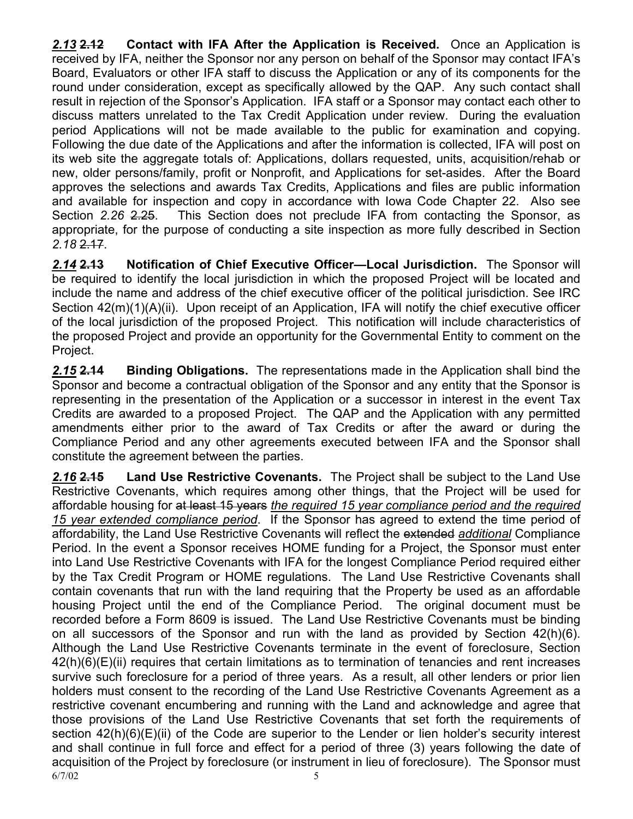*2.13* **2.12 Contact with IFA After the Application is Received.** Once an Application is received by IFA, neither the Sponsor nor any person on behalf of the Sponsor may contact IFA's Board, Evaluators or other IFA staff to discuss the Application or any of its components for the round under consideration, except as specifically allowed by the QAP. Any such contact shall result in rejection of the Sponsor's Application. IFA staff or a Sponsor may contact each other to discuss matters unrelated to the Tax Credit Application under review. During the evaluation period Applications will not be made available to the public for examination and copying. Following the due date of the Applications and after the information is collected, IFA will post on its web site the aggregate totals of: Applications, dollars requested, units, acquisition/rehab or new, older persons/family, profit or Nonprofit, and Applications for set-asides. After the Board approves the selections and awards Tax Credits, Applications and files are public information and available for inspection and copy in accordance with Iowa Code Chapter 22. Also see Section *2.26* 2.25. This Section does not preclude IFA from contacting the Sponsor, as appropriate, for the purpose of conducting a site inspection as more fully described in Section *2.18* 2.17.

*2.14* **2.13 Notification of Chief Executive Officer—Local Jurisdiction.** The Sponsor will be required to identify the local jurisdiction in which the proposed Project will be located and include the name and address of the chief executive officer of the political jurisdiction. See IRC Section 42(m)(1)(A)(ii). Upon receipt of an Application, IFA will notify the chief executive officer of the local jurisdiction of the proposed Project. This notification will include characteristics of the proposed Project and provide an opportunity for the Governmental Entity to comment on the Project.

*2.15* **2.14 Binding Obligations.** The representations made in the Application shall bind the Sponsor and become a contractual obligation of the Sponsor and any entity that the Sponsor is representing in the presentation of the Application or a successor in interest in the event Tax Credits are awarded to a proposed Project. The QAP and the Application with any permitted amendments either prior to the award of Tax Credits or after the award or during the Compliance Period and any other agreements executed between IFA and the Sponsor shall constitute the agreement between the parties.

 $6/7/02$  5 *2.16* **2.15 Land Use Restrictive Covenants.** The Project shall be subject to the Land Use Restrictive Covenants, which requires among other things, that the Project will be used for affordable housing for at least 15 years *the required 15 year compliance period and the required 15 year extended compliance period*. If the Sponsor has agreed to extend the time period of affordability, the Land Use Restrictive Covenants will reflect the extended *additional* Compliance Period. In the event a Sponsor receives HOME funding for a Project, the Sponsor must enter into Land Use Restrictive Covenants with IFA for the longest Compliance Period required either by the Tax Credit Program or HOME regulations. The Land Use Restrictive Covenants shall contain covenants that run with the land requiring that the Property be used as an affordable housing Project until the end of the Compliance Period. The original document must be recorded before a Form 8609 is issued. The Land Use Restrictive Covenants must be binding on all successors of the Sponsor and run with the land as provided by Section 42(h)(6). Although the Land Use Restrictive Covenants terminate in the event of foreclosure, Section 42(h)(6)(E)(ii) requires that certain limitations as to termination of tenancies and rent increases survive such foreclosure for a period of three years. As a result, all other lenders or prior lien holders must consent to the recording of the Land Use Restrictive Covenants Agreement as a restrictive covenant encumbering and running with the Land and acknowledge and agree that those provisions of the Land Use Restrictive Covenants that set forth the requirements of section 42(h)(6)(E)(ii) of the Code are superior to the Lender or lien holder's security interest and shall continue in full force and effect for a period of three (3) years following the date of acquisition of the Project by foreclosure (or instrument in lieu of foreclosure). The Sponsor must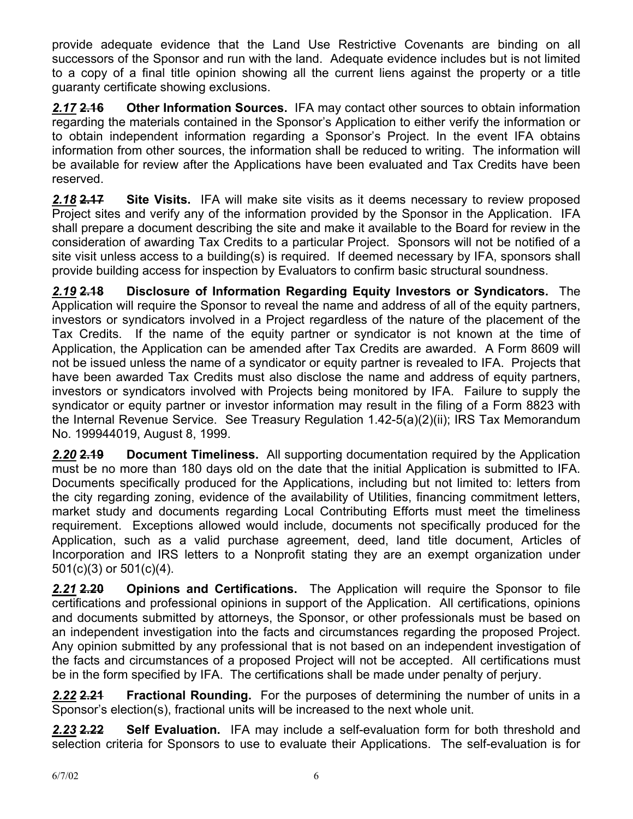provide adequate evidence that the Land Use Restrictive Covenants are binding on all successors of the Sponsor and run with the land. Adequate evidence includes but is not limited to a copy of a final title opinion showing all the current liens against the property or a title guaranty certificate showing exclusions.

*2.17* **2.16 Other Information Sources.** IFA may contact other sources to obtain information regarding the materials contained in the Sponsor's Application to either verify the information or to obtain independent information regarding a Sponsor's Project. In the event IFA obtains information from other sources, the information shall be reduced to writing. The information will be available for review after the Applications have been evaluated and Tax Credits have been reserved.

*2.18* **2.17 Site Visits.** IFA will make site visits as it deems necessary to review proposed Project sites and verify any of the information provided by the Sponsor in the Application. IFA shall prepare a document describing the site and make it available to the Board for review in the consideration of awarding Tax Credits to a particular Project. Sponsors will not be notified of a site visit unless access to a building(s) is required. If deemed necessary by IFA, sponsors shall provide building access for inspection by Evaluators to confirm basic structural soundness.

*2.19* **2.18 Disclosure of Information Regarding Equity Investors or Syndicators.** The Application will require the Sponsor to reveal the name and address of all of the equity partners, investors or syndicators involved in a Project regardless of the nature of the placement of the Tax Credits. If the name of the equity partner or syndicator is not known at the time of Application, the Application can be amended after Tax Credits are awarded. A Form 8609 will not be issued unless the name of a syndicator or equity partner is revealed to IFA. Projects that have been awarded Tax Credits must also disclose the name and address of equity partners, investors or syndicators involved with Projects being monitored by IFA. Failure to supply the syndicator or equity partner or investor information may result in the filing of a Form 8823 with the Internal Revenue Service. See Treasury Regulation 1.42-5(a)(2)(ii); IRS Tax Memorandum No. 199944019, August 8, 1999.

*2.20* **2.19 Document Timeliness.** All supporting documentation required by the Application must be no more than 180 days old on the date that the initial Application is submitted to IFA. Documents specifically produced for the Applications, including but not limited to: letters from the city regarding zoning, evidence of the availability of Utilities, financing commitment letters, market study and documents regarding Local Contributing Efforts must meet the timeliness requirement. Exceptions allowed would include, documents not specifically produced for the Application, such as a valid purchase agreement, deed, land title document, Articles of Incorporation and IRS letters to a Nonprofit stating they are an exempt organization under 501(c)(3) or 501(c)(4).

*2.21* **2.20 Opinions and Certifications.** The Application will require the Sponsor to file certifications and professional opinions in support of the Application. All certifications, opinions and documents submitted by attorneys, the Sponsor, or other professionals must be based on an independent investigation into the facts and circumstances regarding the proposed Project. Any opinion submitted by any professional that is not based on an independent investigation of the facts and circumstances of a proposed Project will not be accepted. All certifications must be in the form specified by IFA. The certifications shall be made under penalty of perjury.

*2.22* **2.21 Fractional Rounding.** For the purposes of determining the number of units in a Sponsor's election(s), fractional units will be increased to the next whole unit.

*2.23* **2.22 Self Evaluation.** IFA may include a self-evaluation form for both threshold and selection criteria for Sponsors to use to evaluate their Applications. The self-evaluation is for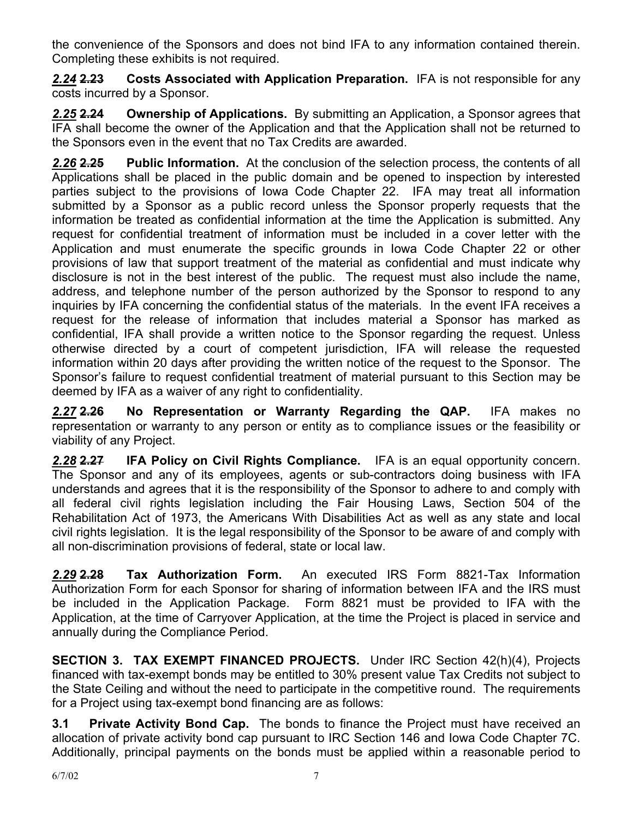the convenience of the Sponsors and does not bind IFA to any information contained therein. Completing these exhibits is not required.

*2.24* **2.23 Costs Associated with Application Preparation.** IFA is not responsible for any costs incurred by a Sponsor.

*2.25* **2.24 Ownership of Applications.** By submitting an Application, a Sponsor agrees that IFA shall become the owner of the Application and that the Application shall not be returned to the Sponsors even in the event that no Tax Credits are awarded.

*2.26* **2.25 Public Information.** At the conclusion of the selection process, the contents of all Applications shall be placed in the public domain and be opened to inspection by interested parties subject to the provisions of Iowa Code Chapter 22. IFA may treat all information submitted by a Sponsor as a public record unless the Sponsor properly requests that the information be treated as confidential information at the time the Application is submitted. Any request for confidential treatment of information must be included in a cover letter with the Application and must enumerate the specific grounds in Iowa Code Chapter 22 or other provisions of law that support treatment of the material as confidential and must indicate why disclosure is not in the best interest of the public. The request must also include the name, address, and telephone number of the person authorized by the Sponsor to respond to any inquiries by IFA concerning the confidential status of the materials. In the event IFA receives a request for the release of information that includes material a Sponsor has marked as confidential, IFA shall provide a written notice to the Sponsor regarding the request. Unless otherwise directed by a court of competent jurisdiction, IFA will release the requested information within 20 days after providing the written notice of the request to the Sponsor. The Sponsor's failure to request confidential treatment of material pursuant to this Section may be deemed by IFA as a waiver of any right to confidentiality.

*2.27* **2.26 No Representation or Warranty Regarding the QAP.** IFA makes no representation or warranty to any person or entity as to compliance issues or the feasibility or viability of any Project.

*2.28* **2.27 IFA Policy on Civil Rights Compliance.** IFA is an equal opportunity concern. The Sponsor and any of its employees, agents or sub-contractors doing business with IFA understands and agrees that it is the responsibility of the Sponsor to adhere to and comply with all federal civil rights legislation including the Fair Housing Laws, Section 504 of the Rehabilitation Act of 1973, the Americans With Disabilities Act as well as any state and local civil rights legislation. It is the legal responsibility of the Sponsor to be aware of and comply with all non-discrimination provisions of federal, state or local law.

*2.29* **2.28 Tax Authorization Form.** An executed IRS Form 8821-Tax Information Authorization Form for each Sponsor for sharing of information between IFA and the IRS must be included in the Application Package. Form 8821 must be provided to IFA with the Application, at the time of Carryover Application, at the time the Project is placed in service and annually during the Compliance Period.

**SECTION 3. TAX EXEMPT FINANCED PROJECTS.** Under IRC Section 42(h)(4), Projects financed with tax-exempt bonds may be entitled to 30% present value Tax Credits not subject to the State Ceiling and without the need to participate in the competitive round. The requirements for a Project using tax-exempt bond financing are as follows:

**3.1 Private Activity Bond Cap.** The bonds to finance the Project must have received an allocation of private activity bond cap pursuant to IRC Section 146 and Iowa Code Chapter 7C. Additionally, principal payments on the bonds must be applied within a reasonable period to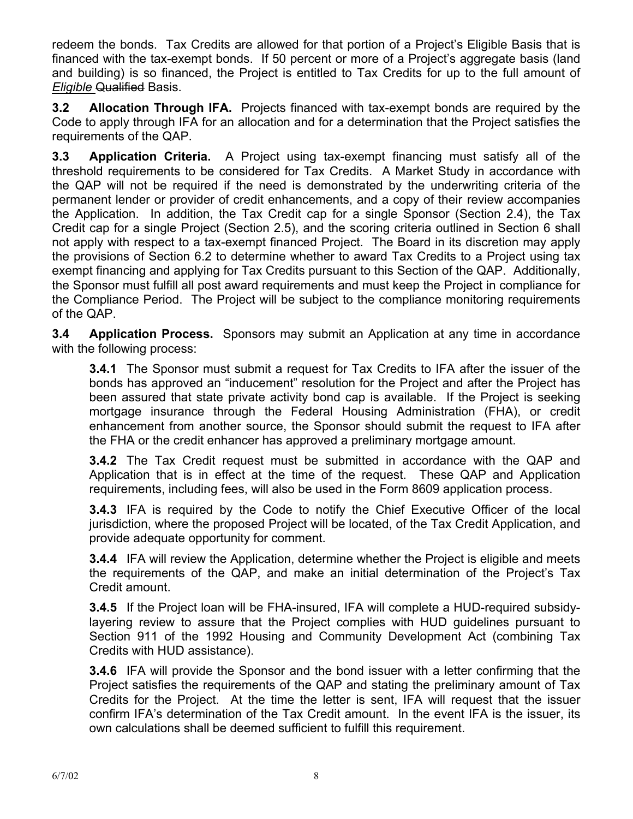redeem the bonds. Tax Credits are allowed for that portion of a Project's Eligible Basis that is financed with the tax-exempt bonds. If 50 percent or more of a Project's aggregate basis (land and building) is so financed, the Project is entitled to Tax Credits for up to the full amount of *Eligible Qualified Basis.* 

**3.2 Allocation Through IFA.** Projects financed with tax-exempt bonds are required by the Code to apply through IFA for an allocation and for a determination that the Project satisfies the requirements of the QAP.

**3.3 Application Criteria.** A Project using tax-exempt financing must satisfy all of the threshold requirements to be considered for Tax Credits. A Market Study in accordance with the QAP will not be required if the need is demonstrated by the underwriting criteria of the permanent lender or provider of credit enhancements, and a copy of their review accompanies the Application. In addition, the Tax Credit cap for a single Sponsor (Section 2.4), the Tax Credit cap for a single Project (Section 2.5), and the scoring criteria outlined in Section 6 shall not apply with respect to a tax-exempt financed Project. The Board in its discretion may apply the provisions of Section 6.2 to determine whether to award Tax Credits to a Project using tax exempt financing and applying for Tax Credits pursuant to this Section of the QAP. Additionally, the Sponsor must fulfill all post award requirements and must keep the Project in compliance for the Compliance Period. The Project will be subject to the compliance monitoring requirements of the QAP.

**3.4 Application Process.** Sponsors may submit an Application at any time in accordance with the following process:

**3.4.1** The Sponsor must submit a request for Tax Credits to IFA after the issuer of the bonds has approved an "inducement" resolution for the Project and after the Project has been assured that state private activity bond cap is available. If the Project is seeking mortgage insurance through the Federal Housing Administration (FHA), or credit enhancement from another source, the Sponsor should submit the request to IFA after the FHA or the credit enhancer has approved a preliminary mortgage amount.

**3.4.2** The Tax Credit request must be submitted in accordance with the QAP and Application that is in effect at the time of the request. These QAP and Application requirements, including fees, will also be used in the Form 8609 application process.

**3.4.3** IFA is required by the Code to notify the Chief Executive Officer of the local jurisdiction, where the proposed Project will be located, of the Tax Credit Application, and provide adequate opportunity for comment.

**3.4.4** IFA will review the Application, determine whether the Project is eligible and meets the requirements of the QAP, and make an initial determination of the Project's Tax Credit amount.

**3.4.5** If the Project loan will be FHA-insured, IFA will complete a HUD-required subsidylayering review to assure that the Project complies with HUD guidelines pursuant to Section 911 of the 1992 Housing and Community Development Act (combining Tax Credits with HUD assistance).

**3.4.6** IFA will provide the Sponsor and the bond issuer with a letter confirming that the Project satisfies the requirements of the QAP and stating the preliminary amount of Tax Credits for the Project. At the time the letter is sent, IFA will request that the issuer confirm IFA's determination of the Tax Credit amount. In the event IFA is the issuer, its own calculations shall be deemed sufficient to fulfill this requirement.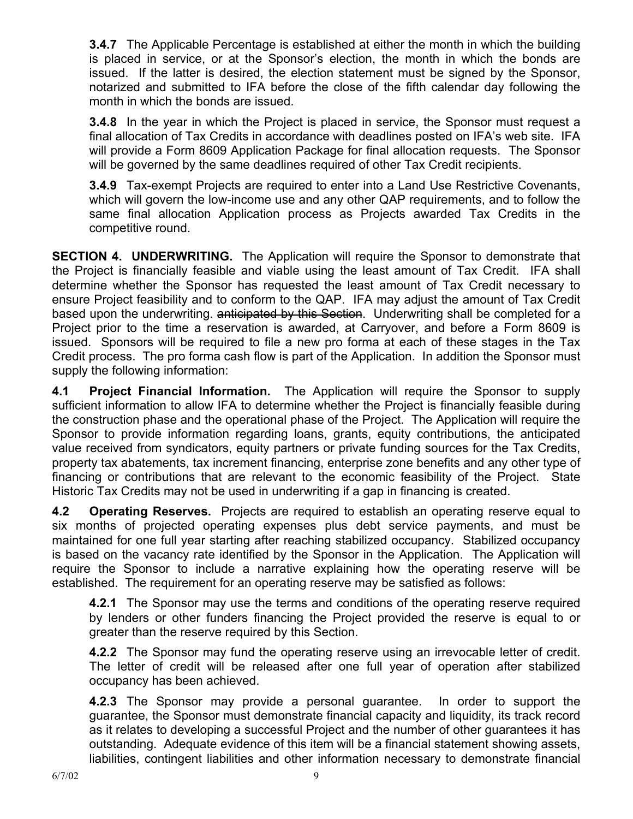**3.4.7** The Applicable Percentage is established at either the month in which the building is placed in service, or at the Sponsor's election, the month in which the bonds are issued. If the latter is desired, the election statement must be signed by the Sponsor, notarized and submitted to IFA before the close of the fifth calendar day following the month in which the bonds are issued.

**3.4.8** In the year in which the Project is placed in service, the Sponsor must request a final allocation of Tax Credits in accordance with deadlines posted on IFA's web site. IFA will provide a Form 8609 Application Package for final allocation requests. The Sponsor will be governed by the same deadlines required of other Tax Credit recipients.

**3.4.9** Tax-exempt Projects are required to enter into a Land Use Restrictive Covenants, which will govern the low-income use and any other QAP requirements, and to follow the same final allocation Application process as Projects awarded Tax Credits in the competitive round.

**SECTION 4. UNDERWRITING.** The Application will require the Sponsor to demonstrate that the Project is financially feasible and viable using the least amount of Tax Credit. IFA shall determine whether the Sponsor has requested the least amount of Tax Credit necessary to ensure Project feasibility and to conform to the QAP. IFA may adjust the amount of Tax Credit based upon the underwriting. anticipated by this Section. Underwriting shall be completed for a Project prior to the time a reservation is awarded, at Carryover, and before a Form 8609 is issued. Sponsors will be required to file a new pro forma at each of these stages in the Tax Credit process. The pro forma cash flow is part of the Application. In addition the Sponsor must supply the following information:

**4.1 Project Financial Information.** The Application will require the Sponsor to supply sufficient information to allow IFA to determine whether the Project is financially feasible during the construction phase and the operational phase of the Project. The Application will require the Sponsor to provide information regarding loans, grants, equity contributions, the anticipated value received from syndicators, equity partners or private funding sources for the Tax Credits, property tax abatements, tax increment financing, enterprise zone benefits and any other type of financing or contributions that are relevant to the economic feasibility of the Project. State Historic Tax Credits may not be used in underwriting if a gap in financing is created.

**4.2 Operating Reserves.** Projects are required to establish an operating reserve equal to six months of projected operating expenses plus debt service payments, and must be maintained for one full year starting after reaching stabilized occupancy. Stabilized occupancy is based on the vacancy rate identified by the Sponsor in the Application. The Application will require the Sponsor to include a narrative explaining how the operating reserve will be established. The requirement for an operating reserve may be satisfied as follows:

**4.2.1** The Sponsor may use the terms and conditions of the operating reserve required by lenders or other funders financing the Project provided the reserve is equal to or greater than the reserve required by this Section.

**4.2.2** The Sponsor may fund the operating reserve using an irrevocable letter of credit. The letter of credit will be released after one full year of operation after stabilized occupancy has been achieved.

**4.2.3** The Sponsor may provide a personal guarantee. In order to support the guarantee, the Sponsor must demonstrate financial capacity and liquidity, its track record as it relates to developing a successful Project and the number of other guarantees it has outstanding. Adequate evidence of this item will be a financial statement showing assets, liabilities, contingent liabilities and other information necessary to demonstrate financial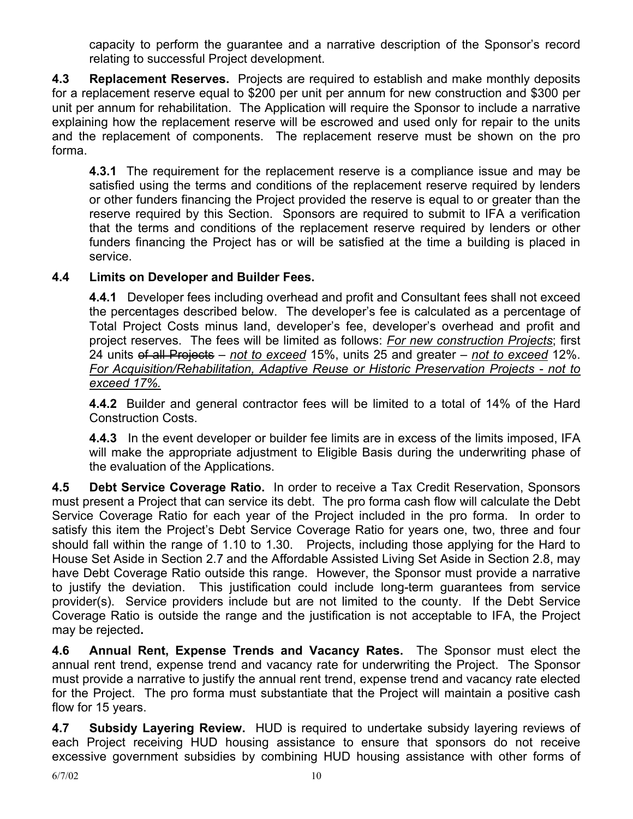capacity to perform the guarantee and a narrative description of the Sponsor's record relating to successful Project development.

**4.3 Replacement Reserves.** Projects are required to establish and make monthly deposits for a replacement reserve equal to \$200 per unit per annum for new construction and \$300 per unit per annum for rehabilitation. The Application will require the Sponsor to include a narrative explaining how the replacement reserve will be escrowed and used only for repair to the units and the replacement of components. The replacement reserve must be shown on the pro forma.

**4.3.1** The requirement for the replacement reserve is a compliance issue and may be satisfied using the terms and conditions of the replacement reserve required by lenders or other funders financing the Project provided the reserve is equal to or greater than the reserve required by this Section. Sponsors are required to submit to IFA a verification that the terms and conditions of the replacement reserve required by lenders or other funders financing the Project has or will be satisfied at the time a building is placed in service.

# **4.4 Limits on Developer and Builder Fees.**

**4.4.1** Developer fees including overhead and profit and Consultant fees shall not exceed the percentages described below. The developer's fee is calculated as a percentage of Total Project Costs minus land, developer's fee, developer's overhead and profit and project reserves. The fees will be limited as follows: *For new construction Projects*; first 24 units of all Projects – *not to exceed* 15%, units 25 and greater – *not to exceed* 12%. *For Acquisition/Rehabilitation, Adaptive Reuse or Historic Preservation Projects - not to exceed 17%.*

**4.4.2** Builder and general contractor fees will be limited to a total of 14% of the Hard Construction Costs.

**4.4.3** In the event developer or builder fee limits are in excess of the limits imposed, IFA will make the appropriate adjustment to Eligible Basis during the underwriting phase of the evaluation of the Applications.

**4.5 Debt Service Coverage Ratio.** In order to receive a Tax Credit Reservation, Sponsors must present a Project that can service its debt. The pro forma cash flow will calculate the Debt Service Coverage Ratio for each year of the Project included in the pro forma. In order to satisfy this item the Project's Debt Service Coverage Ratio for years one, two, three and four should fall within the range of 1.10 to 1.30. Projects, including those applying for the Hard to House Set Aside in Section 2.7 and the Affordable Assisted Living Set Aside in Section 2.8, may have Debt Coverage Ratio outside this range. However, the Sponsor must provide a narrative to justify the deviation. This justification could include long-term guarantees from service provider(s). Service providers include but are not limited to the county. If the Debt Service Coverage Ratio is outside the range and the justification is not acceptable to IFA, the Project may be rejected**.** 

**4.6 Annual Rent, Expense Trends and Vacancy Rates.** The Sponsor must elect the annual rent trend, expense trend and vacancy rate for underwriting the Project. The Sponsor must provide a narrative to justify the annual rent trend, expense trend and vacancy rate elected for the Project. The pro forma must substantiate that the Project will maintain a positive cash flow for 15 years.

**4.7 Subsidy Layering Review.** HUD is required to undertake subsidy layering reviews of each Project receiving HUD housing assistance to ensure that sponsors do not receive excessive government subsidies by combining HUD housing assistance with other forms of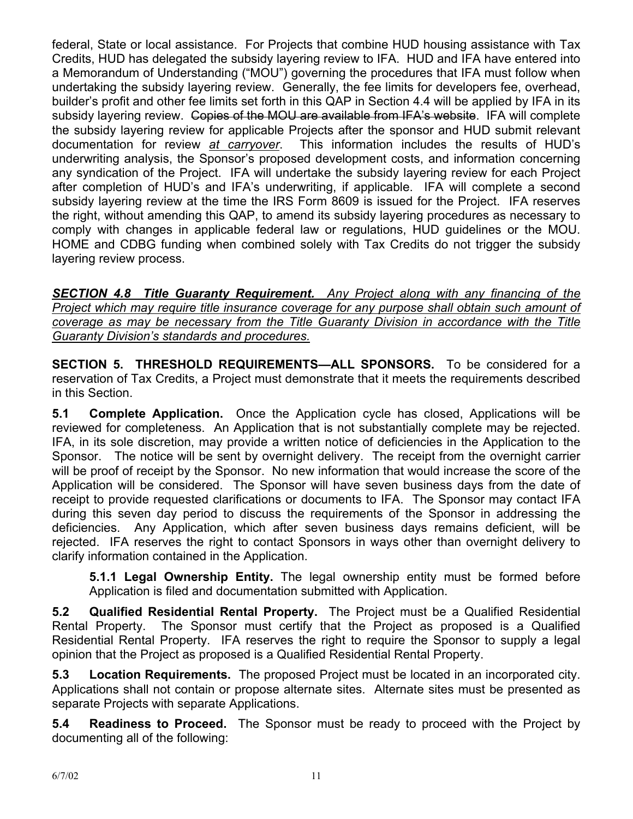federal, State or local assistance. For Projects that combine HUD housing assistance with Tax Credits, HUD has delegated the subsidy layering review to IFA. HUD and IFA have entered into a Memorandum of Understanding ("MOU") governing the procedures that IFA must follow when undertaking the subsidy layering review. Generally, the fee limits for developers fee, overhead, builder's profit and other fee limits set forth in this QAP in Section 4.4 will be applied by IFA in its subsidy layering review. Copies of the MOU are available from IFA's website. IFA will complete the subsidy layering review for applicable Projects after the sponsor and HUD submit relevant documentation for review *at carryover*. This information includes the results of HUD's underwriting analysis, the Sponsor's proposed development costs, and information concerning any syndication of the Project. IFA will undertake the subsidy layering review for each Project after completion of HUD's and IFA's underwriting, if applicable. IFA will complete a second subsidy layering review at the time the IRS Form 8609 is issued for the Project. IFA reserves the right, without amending this QAP, to amend its subsidy layering procedures as necessary to comply with changes in applicable federal law or regulations, HUD guidelines or the MOU. HOME and CDBG funding when combined solely with Tax Credits do not trigger the subsidy layering review process.

*SECTION 4.8 Title Guaranty Requirement. Any Project along with any financing of the Project which may require title insurance coverage for any purpose shall obtain such amount of coverage as may be necessary from the Title Guaranty Division in accordance with the Title Guaranty Division's standards and procedures.*

**SECTION 5. THRESHOLD REQUIREMENTS—ALL SPONSORS.** To be considered for a reservation of Tax Credits, a Project must demonstrate that it meets the requirements described in this Section.

**5.1 Complete Application.** Once the Application cycle has closed, Applications will be reviewed for completeness. An Application that is not substantially complete may be rejected. IFA, in its sole discretion, may provide a written notice of deficiencies in the Application to the Sponsor. The notice will be sent by overnight delivery. The receipt from the overnight carrier will be proof of receipt by the Sponsor. No new information that would increase the score of the Application will be considered. The Sponsor will have seven business days from the date of receipt to provide requested clarifications or documents to IFA. The Sponsor may contact IFA during this seven day period to discuss the requirements of the Sponsor in addressing the deficiencies. Any Application, which after seven business days remains deficient, will be rejected. IFA reserves the right to contact Sponsors in ways other than overnight delivery to clarify information contained in the Application.

**5.1.1 Legal Ownership Entity.** The legal ownership entity must be formed before Application is filed and documentation submitted with Application.

**5.2 Qualified Residential Rental Property.** The Project must be a Qualified Residential Rental Property. The Sponsor must certify that the Project as proposed is a Qualified Residential Rental Property. IFA reserves the right to require the Sponsor to supply a legal opinion that the Project as proposed is a Qualified Residential Rental Property.

**5.3 Location Requirements.** The proposed Project must be located in an incorporated city. Applications shall not contain or propose alternate sites. Alternate sites must be presented as separate Projects with separate Applications.

**5.4 Readiness to Proceed.** The Sponsor must be ready to proceed with the Project by documenting all of the following: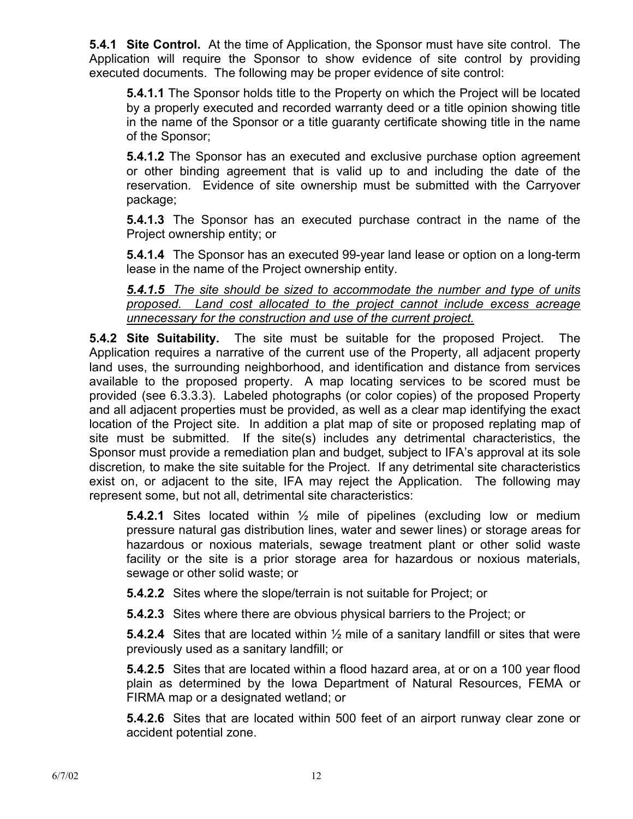**5.4.1 Site Control.** At the time of Application, the Sponsor must have site control. The Application will require the Sponsor to show evidence of site control by providing executed documents. The following may be proper evidence of site control:

**5.4.1.1** The Sponsor holds title to the Property on which the Project will be located by a properly executed and recorded warranty deed or a title opinion showing title in the name of the Sponsor or a title guaranty certificate showing title in the name of the Sponsor;

**5.4.1.2** The Sponsor has an executed and exclusive purchase option agreement or other binding agreement that is valid up to and including the date of the reservation. Evidence of site ownership must be submitted with the Carryover package;

**5.4.1.3** The Sponsor has an executed purchase contract in the name of the Project ownership entity; or

**5.4.1.4** The Sponsor has an executed 99-year land lease or option on a long-term lease in the name of the Project ownership entity.

## *5.4.1.5 The site should be sized to accommodate the number and type of units proposed. Land cost allocated to the project cannot include excess acreage unnecessary for the construction and use of the current project.*

**5.4.2 Site Suitability.** The site must be suitable for the proposed Project. The Application requires a narrative of the current use of the Property, all adjacent property land uses, the surrounding neighborhood, and identification and distance from services available to the proposed property.A map locating services to be scored must be provided (see 6.3.3.3). Labeled photographs (or color copies) of the proposed Property and all adjacent properties must be provided, as well as a clear map identifying the exact location of the Project site. In addition a plat map of site or proposed replating map of site must be submitted.If the site(s) includes any detrimental characteristics, the Sponsor must provide a remediation plan and budget*,* subject to IFA's approval at its sole discretion*,* to make the site suitable for the Project. If any detrimental site characteristics exist on, or adjacent to the site, IFA may reject the Application.The following may represent some, but not all, detrimental site characteristics:

**5.4.2.1** Sites located within ½ mile of pipelines (excluding low or medium pressure natural gas distribution lines, water and sewer lines) or storage areas for hazardous or noxious materials, sewage treatment plant or other solid waste facility or the site is a prior storage area for hazardous or noxious materials, sewage or other solid waste; or

**5.4.2.2** Sites where the slope/terrain is not suitable for Project; or

**5.4.2.3** Sites where there are obvious physical barriers to the Project; or

**5.4.2.4** Sites that are located within ½ mile of a sanitary landfill or sites that were previously used as a sanitary landfill; or

**5.4.2.5** Sites that are located within a flood hazard area, at or on a 100 year flood plain as determined by the Iowa Department of Natural Resources, FEMA or FIRMA map or a designated wetland; or

**5.4.2.6** Sites that are located within 500 feet of an airport runway clear zone or accident potential zone.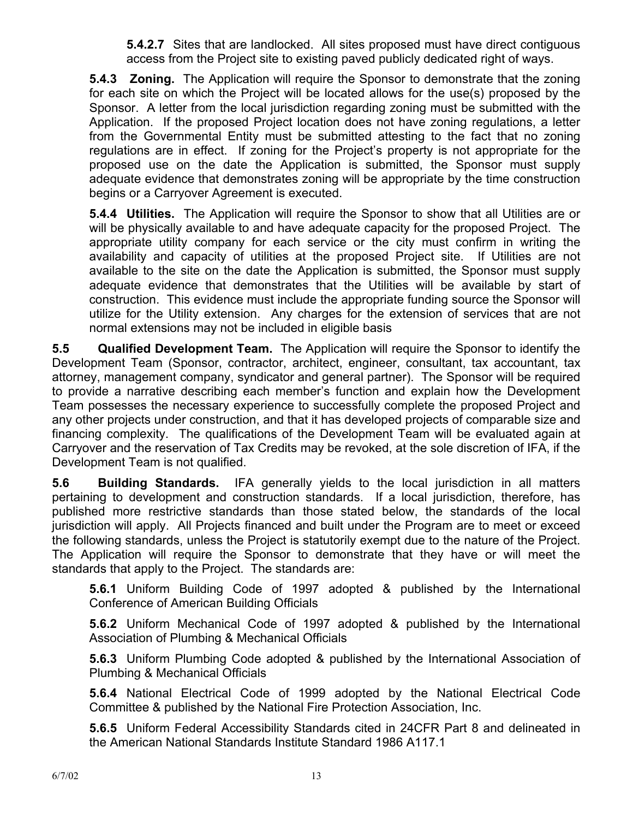**5.4.2.7** Sites that are landlocked. All sites proposed must have direct contiguous access from the Project site to existing paved publicly dedicated right of ways.

**5.4.3 Zoning.** The Application will require the Sponsor to demonstrate that the zoning for each site on which the Project will be located allows for the use(s) proposed by the Sponsor. A letter from the local jurisdiction regarding zoning must be submitted with the Application. If the proposed Project location does not have zoning regulations, a letter from the Governmental Entity must be submitted attesting to the fact that no zoning regulations are in effect. If zoning for the Project's property is not appropriate for the proposed use on the date the Application is submitted, the Sponsor must supply adequate evidence that demonstrates zoning will be appropriate by the time construction begins or a Carryover Agreement is executed.

**5.4.4 Utilities.** The Application will require the Sponsor to show that all Utilities are or will be physically available to and have adequate capacity for the proposed Project. The appropriate utility company for each service or the city must confirm in writing the availability and capacity of utilities at the proposed Project site. If Utilities are not available to the site on the date the Application is submitted, the Sponsor must supply adequate evidence that demonstrates that the Utilities will be available by start of construction. This evidence must include the appropriate funding source the Sponsor will utilize for the Utility extension. Any charges for the extension of services that are not normal extensions may not be included in eligible basis

**5.5 Qualified Development Team.** The Application will require the Sponsor to identify the Development Team (Sponsor, contractor, architect, engineer, consultant, tax accountant, tax attorney, management company, syndicator and general partner). The Sponsor will be required to provide a narrative describing each member's function and explain how the Development Team possesses the necessary experience to successfully complete the proposed Project and any other projects under construction, and that it has developed projects of comparable size and financing complexity. The qualifications of the Development Team will be evaluated again at Carryover and the reservation of Tax Credits may be revoked, at the sole discretion of IFA, if the Development Team is not qualified.

**5.6 Building Standards.** IFA generally yields to the local jurisdiction in all matters pertaining to development and construction standards. If a local jurisdiction, therefore, has published more restrictive standards than those stated below, the standards of the local jurisdiction will apply. All Projects financed and built under the Program are to meet or exceed the following standards, unless the Project is statutorily exempt due to the nature of the Project. The Application will require the Sponsor to demonstrate that they have or will meet the standards that apply to the Project. The standards are:

**5.6.1** Uniform Building Code of 1997 adopted & published by the International Conference of American Building Officials

**5.6.2** Uniform Mechanical Code of 1997 adopted & published by the International Association of Plumbing & Mechanical Officials

**5.6.3** Uniform Plumbing Code adopted & published by the International Association of Plumbing & Mechanical Officials

**5.6.4** National Electrical Code of 1999 adopted by the National Electrical Code Committee & published by the National Fire Protection Association, Inc.

**5.6.5** Uniform Federal Accessibility Standards cited in 24CFR Part 8 and delineated in the American National Standards Institute Standard 1986 A117.1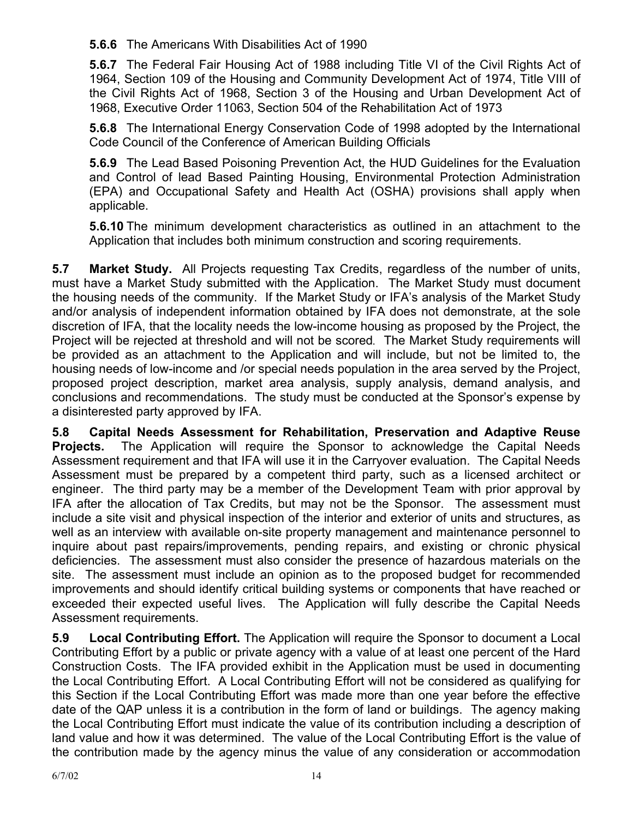**5.6.6** The Americans With Disabilities Act of 1990

**5.6.7** The Federal Fair Housing Act of 1988 including Title VI of the Civil Rights Act of 1964, Section 109 of the Housing and Community Development Act of 1974, Title VIII of the Civil Rights Act of 1968, Section 3 of the Housing and Urban Development Act of 1968, Executive Order 11063, Section 504 of the Rehabilitation Act of 1973

**5.6.8** The International Energy Conservation Code of 1998 adopted by the International Code Council of the Conference of American Building Officials

**5.6.9** The Lead Based Poisoning Prevention Act, the HUD Guidelines for the Evaluation and Control of lead Based Painting Housing, Environmental Protection Administration (EPA) and Occupational Safety and Health Act (OSHA) provisions shall apply when applicable.

**5.6.10** The minimum development characteristics as outlined in an attachment to the Application that includes both minimum construction and scoring requirements.

**5.7 Market Study.** All Projects requesting Tax Credits, regardless of the number of units, must have a Market Study submitted with the Application. The Market Study must document the housing needs of the community. If the Market Study or IFA's analysis of the Market Study and/or analysis of independent information obtained by IFA does not demonstrate, at the sole discretion of IFA, that the locality needs the low-income housing as proposed by the Project, the Project will be rejected at threshold and will not be scored*.* The Market Study requirements will be provided as an attachment to the Application and will include, but not be limited to, the housing needs of low-income and /or special needs population in the area served by the Project, proposed project description, market area analysis, supply analysis, demand analysis, and conclusions and recommendations. The study must be conducted at the Sponsor's expense by a disinterested party approved by IFA.

**5.8 Capital Needs Assessment for Rehabilitation, Preservation and Adaptive Reuse Projects.** The Application will require the Sponsor to acknowledge the Capital Needs Assessment requirement and that IFA will use it in the Carryover evaluation. The Capital Needs Assessment must be prepared by a competent third party, such as a licensed architect or engineer. The third party may be a member of the Development Team with prior approval by IFA after the allocation of Tax Credits, but may not be the Sponsor. The assessment must include a site visit and physical inspection of the interior and exterior of units and structures, as well as an interview with available on-site property management and maintenance personnel to inquire about past repairs/improvements, pending repairs, and existing or chronic physical deficiencies. The assessment must also consider the presence of hazardous materials on the site. The assessment must include an opinion as to the proposed budget for recommended improvements and should identify critical building systems or components that have reached or exceeded their expected useful lives. The Application will fully describe the Capital Needs Assessment requirements.

**5.9 Local Contributing Effort.** The Application will require the Sponsor to document a Local Contributing Effort by a public or private agency with a value of at least one percent of the Hard Construction Costs. The IFA provided exhibit in the Application must be used in documenting the Local Contributing Effort. A Local Contributing Effort will not be considered as qualifying for this Section if the Local Contributing Effort was made more than one year before the effective date of the QAP unless it is a contribution in the form of land or buildings. The agency making the Local Contributing Effort must indicate the value of its contribution including a description of land value and how it was determined. The value of the Local Contributing Effort is the value of the contribution made by the agency minus the value of any consideration or accommodation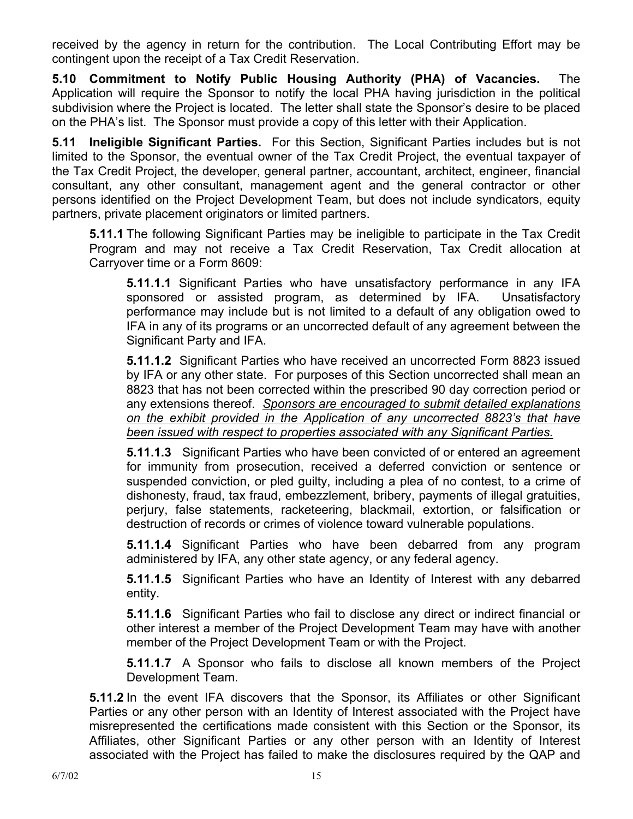received by the agency in return for the contribution. The Local Contributing Effort may be contingent upon the receipt of a Tax Credit Reservation.

**5.10 Commitment to Notify Public Housing Authority (PHA) of Vacancies.** The Application will require the Sponsor to notify the local PHA having jurisdiction in the political subdivision where the Project is located. The letter shall state the Sponsor's desire to be placed on the PHA's list. The Sponsor must provide a copy of this letter with their Application.

**5.11 Ineligible Significant Parties.** For this Section, Significant Parties includes but is not limited to the Sponsor, the eventual owner of the Tax Credit Project, the eventual taxpayer of the Tax Credit Project, the developer, general partner, accountant, architect, engineer, financial consultant, any other consultant, management agent and the general contractor or other persons identified on the Project Development Team, but does not include syndicators, equity partners, private placement originators or limited partners.

**5.11.1** The following Significant Parties may be ineligible to participate in the Tax Credit Program and may not receive a Tax Credit Reservation, Tax Credit allocation at Carryover time or a Form 8609:

**5.11.1.1** Significant Parties who have unsatisfactory performance in any IFA sponsored or assisted program, as determined by IFA. Unsatisfactory performance may include but is not limited to a default of any obligation owed to IFA in any of its programs or an uncorrected default of any agreement between the Significant Party and IFA.

**5.11.1.2** Significant Parties who have received an uncorrected Form 8823 issued by IFA or any other state. For purposes of this Section uncorrected shall mean an 8823 that has not been corrected within the prescribed 90 day correction period or any extensions thereof. *Sponsors are encouraged to submit detailed explanations on the exhibit provided in the Application of any uncorrected 8823's that have been issued with respect to properties associated with any Significant Parties.*

**5.11.1.3** Significant Parties who have been convicted of or entered an agreement for immunity from prosecution, received a deferred conviction or sentence or suspended conviction, or pled guilty, including a plea of no contest, to a crime of dishonesty, fraud, tax fraud, embezzlement, bribery, payments of illegal gratuities, perjury, false statements, racketeering, blackmail, extortion, or falsification or destruction of records or crimes of violence toward vulnerable populations.

**5.11.1.4** Significant Parties who have been debarred from any program administered by IFA, any other state agency, or any federal agency.

**5.11.1.5** Significant Parties who have an Identity of Interest with any debarred entity.

**5.11.1.6** Significant Parties who fail to disclose any direct or indirect financial or other interest a member of the Project Development Team may have with another member of the Project Development Team or with the Project.

**5.11.1.7** A Sponsor who fails to disclose all known members of the Project Development Team.

**5.11.2** In the event IFA discovers that the Sponsor, its Affiliates or other Significant Parties or any other person with an Identity of Interest associated with the Project have misrepresented the certifications made consistent with this Section or the Sponsor, its Affiliates, other Significant Parties or any other person with an Identity of Interest associated with the Project has failed to make the disclosures required by the QAP and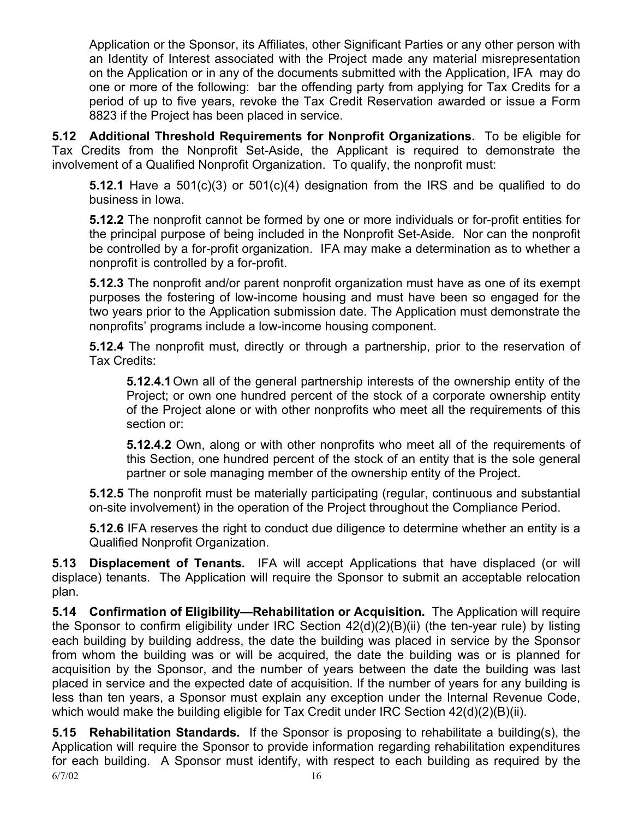Application or the Sponsor, its Affiliates, other Significant Parties or any other person with an Identity of Interest associated with the Project made any material misrepresentation on the Application or in any of the documents submitted with the Application, IFA may do one or more of the following: bar the offending party from applying for Tax Credits for a period of up to five years, revoke the Tax Credit Reservation awarded or issue a Form 8823 if the Project has been placed in service.

**5.12 Additional Threshold Requirements for Nonprofit Organizations.** To be eligible for Tax Credits from the Nonprofit Set-Aside, the Applicant is required to demonstrate the involvement of a Qualified Nonprofit Organization. To qualify, the nonprofit must:

**5.12.1** Have a 501(c)(3) or 501(c)(4) designation from the IRS and be qualified to do business in Iowa.

**5.12.2** The nonprofit cannot be formed by one or more individuals or for-profit entities for the principal purpose of being included in the Nonprofit Set-Aside. Nor can the nonprofit be controlled by a for-profit organization. IFA may make a determination as to whether a nonprofit is controlled by a for-profit.

**5.12.3** The nonprofit and/or parent nonprofit organization must have as one of its exempt purposes the fostering of low-income housing and must have been so engaged for the two years prior to the Application submission date. The Application must demonstrate the nonprofits' programs include a low-income housing component.

**5.12.4** The nonprofit must, directly or through a partnership, prior to the reservation of Tax Credits:

**5.12.4.1** Own all of the general partnership interests of the ownership entity of the Project; or own one hundred percent of the stock of a corporate ownership entity of the Project alone or with other nonprofits who meet all the requirements of this section or:

**5.12.4.2** Own, along or with other nonprofits who meet all of the requirements of this Section, one hundred percent of the stock of an entity that is the sole general partner or sole managing member of the ownership entity of the Project.

**5.12.5** The nonprofit must be materially participating (regular, continuous and substantial on-site involvement) in the operation of the Project throughout the Compliance Period.

**5.12.6** IFA reserves the right to conduct due diligence to determine whether an entity is a Qualified Nonprofit Organization.

**5.13 Displacement of Tenants.** IFA will accept Applications that have displaced (or will displace) tenants. The Application will require the Sponsor to submit an acceptable relocation plan.

**5.14 Confirmation of Eligibility—Rehabilitation or Acquisition.** The Application will require the Sponsor to confirm eligibility under IRC Section 42(d)(2)(B)(ii) (the ten-year rule) by listing each building by building address, the date the building was placed in service by the Sponsor from whom the building was or will be acquired, the date the building was or is planned for acquisition by the Sponsor, and the number of years between the date the building was last placed in service and the expected date of acquisition. If the number of years for any building is less than ten years, a Sponsor must explain any exception under the Internal Revenue Code, which would make the building eligible for Tax Credit under IRC Section 42(d)(2)(B)(ii).

 $6/7/02$  16 **5.15 Rehabilitation Standards.** If the Sponsor is proposing to rehabilitate a building(s), the Application will require the Sponsor to provide information regarding rehabilitation expenditures for each building. A Sponsor must identify, with respect to each building as required by the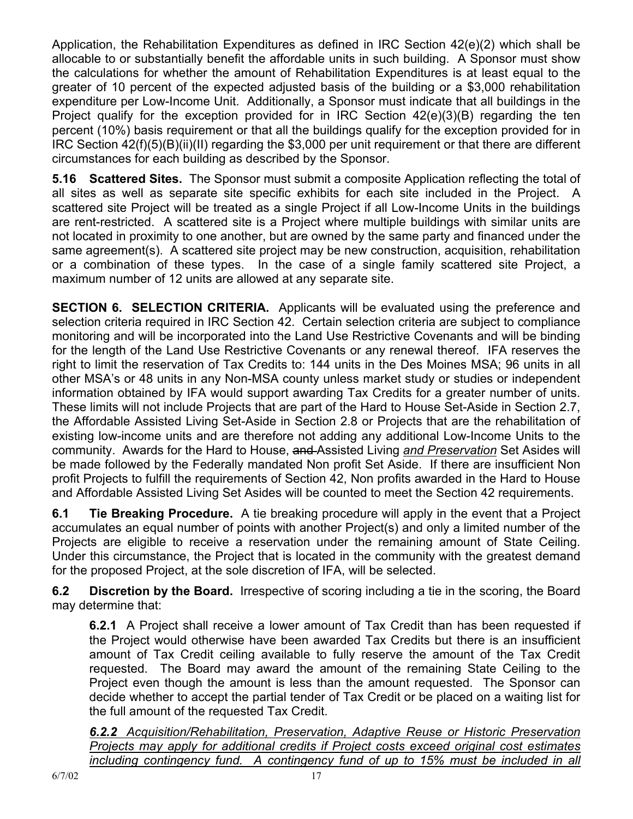Application, the Rehabilitation Expenditures as defined in IRC Section 42(e)(2) which shall be allocable to or substantially benefit the affordable units in such building. A Sponsor must show the calculations for whether the amount of Rehabilitation Expenditures is at least equal to the greater of 10 percent of the expected adjusted basis of the building or a \$3,000 rehabilitation expenditure per Low-Income Unit. Additionally, a Sponsor must indicate that all buildings in the Project qualify for the exception provided for in IRC Section 42(e)(3)(B) regarding the ten percent (10%) basis requirement or that all the buildings qualify for the exception provided for in IRC Section 42(f)(5)(B)(ii)(II) regarding the \$3,000 per unit requirement or that there are different circumstances for each building as described by the Sponsor.

**5.16 Scattered Sites.** The Sponsor must submit a composite Application reflecting the total of all sites as well as separate site specific exhibits for each site included in the Project. A scattered site Project will be treated as a single Project if all Low-Income Units in the buildings are rent-restricted. A scattered site is a Project where multiple buildings with similar units are not located in proximity to one another, but are owned by the same party and financed under the same agreement(s). A scattered site project may be new construction, acquisition, rehabilitation or a combination of these types. In the case of a single family scattered site Project, a maximum number of 12 units are allowed at any separate site.

**SECTION 6. SELECTION CRITERIA.** Applicants will be evaluated using the preference and selection criteria required in IRC Section 42. Certain selection criteria are subject to compliance monitoring and will be incorporated into the Land Use Restrictive Covenants and will be binding for the length of the Land Use Restrictive Covenants or any renewal thereof. IFA reserves the right to limit the reservation of Tax Credits to: 144 units in the Des Moines MSA; 96 units in all other MSA's or 48 units in any Non-MSA county unless market study or studies or independent information obtained by IFA would support awarding Tax Credits for a greater number of units. These limits will not include Projects that are part of the Hard to House Set-Aside in Section 2.7, the Affordable Assisted Living Set-Aside in Section 2.8 or Projects that are the rehabilitation of existing low-income units and are therefore not adding any additional Low-Income Units to the community. Awards for the Hard to House, and Assisted Living *and Preservation* Set Asides will be made followed by the Federally mandated Non profit Set Aside. If there are insufficient Non profit Projects to fulfill the requirements of Section 42, Non profits awarded in the Hard to House and Affordable Assisted Living Set Asides will be counted to meet the Section 42 requirements.

**6.1 Tie Breaking Procedure.** A tie breaking procedure will apply in the event that a Project accumulates an equal number of points with another Project(s) and only a limited number of the Projects are eligible to receive a reservation under the remaining amount of State Ceiling. Under this circumstance, the Project that is located in the community with the greatest demand for the proposed Project, at the sole discretion of IFA, will be selected.

**6.2 Discretion by the Board.** Irrespective of scoring including a tie in the scoring, the Board may determine that:

**6.2.1** A Project shall receive a lower amount of Tax Credit than has been requested if the Project would otherwise have been awarded Tax Credits but there is an insufficient amount of Tax Credit ceiling available to fully reserve the amount of the Tax Credit requested. The Board may award the amount of the remaining State Ceiling to the Project even though the amount is less than the amount requested. The Sponsor can decide whether to accept the partial tender of Tax Credit or be placed on a waiting list for the full amount of the requested Tax Credit.

*6.2.2 Acquisition/Rehabilitation, Preservation, Adaptive Reuse or Historic Preservation Projects may apply for additional credits if Project costs exceed original cost estimates including contingency fund.* A contingency fund of up to 15% must be included in all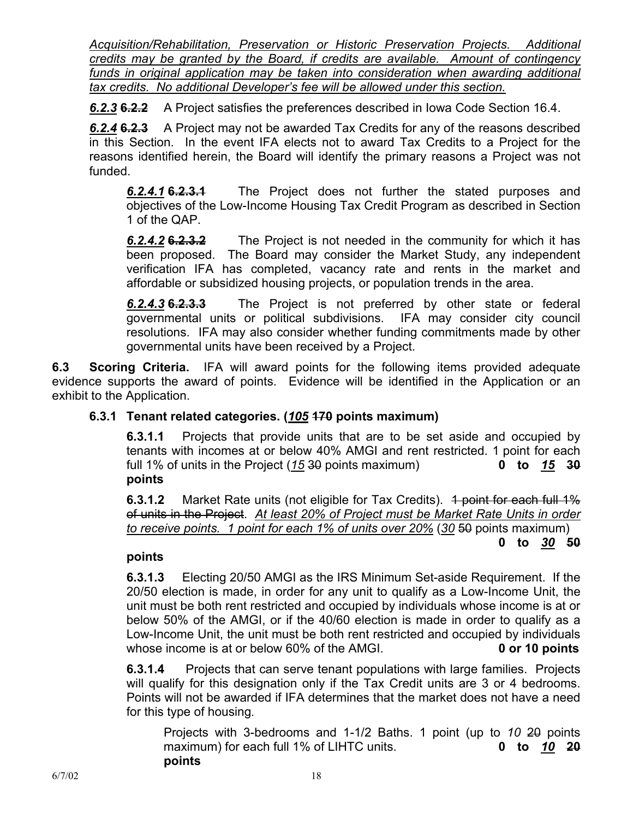*Acquisition/Rehabilitation, Preservation or Historic Preservation Projects. Additional credits may be granted by the Board, if credits are available. Amount of contingency*  funds in original application may be taken into consideration when awarding additional *tax credits. No additional Developer's fee will be allowed under this section.*

*6.2.3* **6.2.2** A Project satisfies the preferences described in Iowa Code Section 16.4.

*6.2.4* **6.2.3** A Project may not be awarded Tax Credits for any of the reasons described in this Section. In the event IFA elects not to award Tax Credits to a Project for the reasons identified herein, the Board will identify the primary reasons a Project was not funded.

*6.2.4.1* **6.2.3.1** The Project does not further the stated purposes and objectives of the Low-Income Housing Tax Credit Program as described in Section 1 of the QAP.

*6.2.4.2* **6.2.3.2** The Project is not needed in the community for which it has been proposed. The Board may consider the Market Study, any independent verification IFA has completed, vacancy rate and rents in the market and affordable or subsidized housing projects, or population trends in the area.

*6.2.4.3* **6.2.3.3** The Project is not preferred by other state or federal governmental units or political subdivisions. IFA may consider city council resolutions. IFA may also consider whether funding commitments made by other governmental units have been received by a Project.

**6.3 Scoring Criteria.** IFA will award points for the following items provided adequate evidence supports the award of points. Evidence will be identified in the Application or an exhibit to the Application.

# **6.3.1 Tenant related categories. (***105* **170 points maximum)**

**6.3.1.1** Projects that provide units that are to be set aside and occupied by tenants with incomes at or below 40% AMGI and rent restricted. 1 point for each full 1% of units in the Project (*15* 30 points maximum) **0 to** *15* **30 points** 

**6.3.1.2** Market Rate units (not eligible for Tax Credits). 4 point for each full 1% of units in the Project. *At least 20% of Project must be Market Rate Units in order to receive points. 1 point for each 1% of units over 20%* (*30* 50 points maximum)

## **0 to** *30* **50**

## **points**

**6.3.1.3** Electing 20/50 AMGI as the IRS Minimum Set-aside Requirement. If the 20/50 election is made, in order for any unit to qualify as a Low-Income Unit, the unit must be both rent restricted and occupied by individuals whose income is at or below 50% of the AMGI, or if the 40/60 election is made in order to qualify as a Low-Income Unit, the unit must be both rent restricted and occupied by individuals whose income is at or below 60% of the AMGI. **0 or 10 points** 

**6.3.1.4** Projects that can serve tenant populations with large families. Projects will qualify for this designation only if the Tax Credit units are 3 or 4 bedrooms. Points will not be awarded if IFA determines that the market does not have a need for this type of housing.

 Projects with 3-bedrooms and 1-1/2 Baths. 1 point (up to *10* 20 points maximum) for each full 1% of LIHTC units. **0 to** *10* **20 points**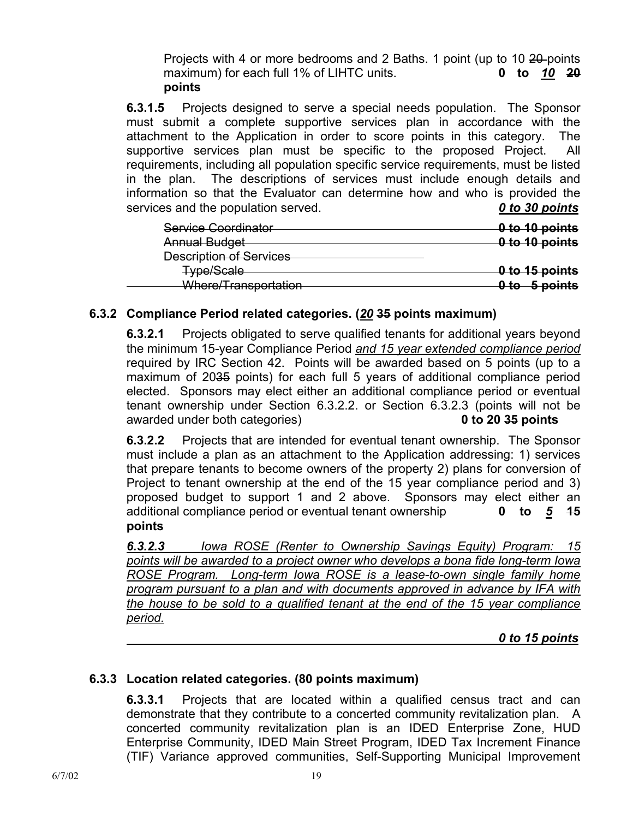Projects with 4 or more bedrooms and 2 Baths. 1 point (up to 10 20 points maximum) for each full 1% of LIHTC units. **0 to** *10* **20 points** 

**6.3.1.5** Projects designed to serve a special needs population. The Sponsor must submit a complete supportive services plan in accordance with the attachment to the Application in order to score points in this category. The supportive services plan must be specific to the proposed Project. All requirements, including all population specific service requirements, must be listed in the plan. The descriptions of services must include enough details and information so that the Evaluator can determine how and who is provided the services and the population served. *0 to 30 points*

| Service Coordinator                                             | 0 to 10 points |
|-----------------------------------------------------------------|----------------|
| <b>Annual Budget</b>                                            | 0 to 10 points |
| <b>Description of Services</b>                                  |                |
| <b>Type/Scale</b>                                               | 0 to 15 points |
| <u> Whara/Tranenortation</u><br><del>mici ci manoponation</del> | 0 to 5 points  |

# **6.3.2 Compliance Period related categories. (***20* **35 points maximum)**

 **6.3.2.1** Projects obligated to serve qualified tenants for additional years beyond the minimum 15-year Compliance Period *and 15 year extended compliance period*  required by IRC Section 42. Points will be awarded based on 5 points (up to a maximum of 2035 points) for each full 5 years of additional compliance period elected. Sponsors may elect either an additional compliance period or eventual tenant ownership under Section 6.3.2.2. or Section 6.3.2.3 (points will not be awarded under both categories) **0 to 20 35 points**

**6.3.2.2** Projects that are intended for eventual tenant ownership. The Sponsor must include a plan as an attachment to the Application addressing: 1) services that prepare tenants to become owners of the property 2) plans for conversion of Project to tenant ownership at the end of the 15 year compliance period and 3) proposed budget to support 1 and 2 above. Sponsors may elect either an additional compliance period or eventual tenant ownership **0 to** *5* **15 points** 

*6.3.2.3 Iowa ROSE (Renter to Ownership Savings Equity) Program: 15 points will be awarded to a project owner who develops a bona fide long-term Iowa ROSE Program. Long-term Iowa ROSE is a lease-to-own single family home program pursuant to a plan and with documents approved in advance by IFA with the house to be sold to a qualified tenant at the end of the 15 year compliance period.*

 *0 to 15 points*

## **6.3.3 Location related categories. (80 points maximum)**

**6.3.3.1** Projects that are located within a qualified census tract and can demonstrate that they contribute to a concerted community revitalization plan. A concerted community revitalization plan is an IDED Enterprise Zone, HUD Enterprise Community, IDED Main Street Program, IDED Tax Increment Finance (TIF) Variance approved communities, Self-Supporting Municipal Improvement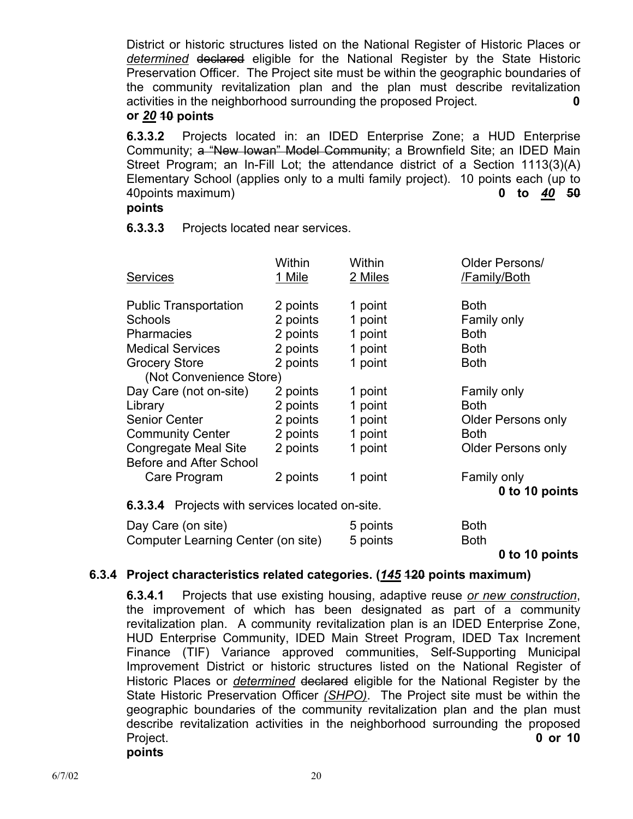District or historic structures listed on the National Register of Historic Places or *determined* declared eligible for the National Register by the State Historic Preservation Officer. The Project site must be within the geographic boundaries of the community revitalization plan and the plan must describe revitalization activities in the neighborhood surrounding the proposed Project. **0** 

**or** *20* **10 points** 

**6.3.3.2** Projects located in: an IDED Enterprise Zone; a HUD Enterprise Community; a "New Iowan" Model Community; a Brownfield Site; an IDED Main Street Program; an In-Fill Lot; the attendance district of a Section 1113(3)(A) Elementary School (applies only to a multi family project). 10 points each (up to 40points maximum) **0 to** *40* **50**

#### **points**

**6.3.3.3** Projects located near services.

| <b>Services</b>                | Within<br>1 Mile | Within<br>2 Miles | Older Persons/<br>/Family/Both |
|--------------------------------|------------------|-------------------|--------------------------------|
| <b>Public Transportation</b>   | 2 points         | 1 point           | <b>Both</b>                    |
| <b>Schools</b>                 | 2 points         | 1 point           | Family only                    |
| <b>Pharmacies</b>              | 2 points         | 1 point           | <b>Both</b>                    |
| <b>Medical Services</b>        | 2 points         | 1 point           | <b>Both</b>                    |
| <b>Grocery Store</b>           | 2 points         | 1 point           | <b>Both</b>                    |
| (Not Convenience Store)        |                  |                   |                                |
| Day Care (not on-site)         | 2 points         | 1 point           | Family only                    |
| Library                        | 2 points         | 1 point           | <b>Both</b>                    |
| <b>Senior Center</b>           | 2 points         | 1 point           | <b>Older Persons only</b>      |
| <b>Community Center</b>        | 2 points         | 1 point           | <b>Both</b>                    |
| Congregate Meal Site           | 2 points         | 1 point           | <b>Older Persons only</b>      |
| <b>Before and After School</b> |                  |                   |                                |
| Care Program                   | 2 points         | 1 point           | Family only                    |
|                                |                  |                   | 0 to 10 points                 |

**6.3.3.4** Projects with services located on-site.

| Day Care (on site)                 | 5 points | <b>Both</b> |
|------------------------------------|----------|-------------|
| Computer Learning Center (on site) | 5 points | <b>Both</b> |

**0 to 10 points** 

## **6.3.4 Project characteristics related categories. (***145* **120 points maximum)**

**6.3.4.1** Projects that use existing housing, adaptive reuse *or new construction*, the improvement of which has been designated as part of a community revitalization plan. A community revitalization plan is an IDED Enterprise Zone, HUD Enterprise Community, IDED Main Street Program, IDED Tax Increment Finance (TIF) Variance approved communities, Self-Supporting Municipal Improvement District or historic structures listed on the National Register of Historic Places or *determined* declared eligible for the National Register by the State Historic Preservation Officer *(SHPO)*. The Project site must be within the geographic boundaries of the community revitalization plan and the plan must describe revitalization activities in the neighborhood surrounding the proposed Project. **0 or 10** 

**points**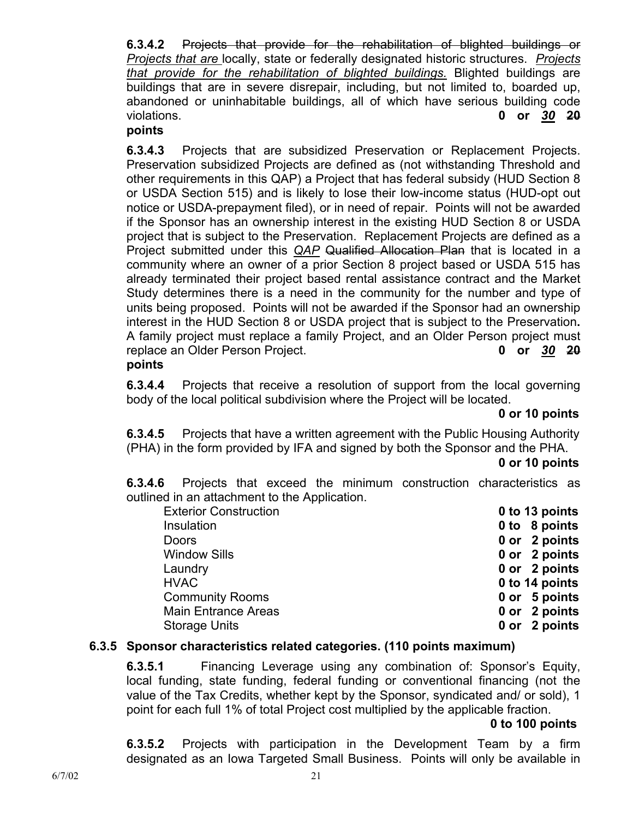**6.3.4.2** Projects that provide for the rehabilitation of blighted buildings or *Projects that are* locally, state or federally designated historic structures. *Projects that provide for the rehabilitation of blighted buildings.* Blighted buildings are buildings that are in severe disrepair, including, but not limited to, boarded up, abandoned or uninhabitable buildings, all of which have serious building code violations. **0 or** *30* **20**

## **points**

**6.3.4.3** Projects that are subsidized Preservation or Replacement Projects. Preservation subsidized Projects are defined as (not withstanding Threshold and other requirements in this QAP) a Project that has federal subsidy (HUD Section 8 or USDA Section 515) and is likely to lose their low-income status (HUD-opt out notice or USDA-prepayment filed), or in need of repair. Points will not be awarded if the Sponsor has an ownership interest in the existing HUD Section 8 or USDA project that is subject to the Preservation. Replacement Projects are defined as a Project submitted under this *QAP* Qualified Allocation Plan that is located in a community where an owner of a prior Section 8 project based or USDA 515 has already terminated their project based rental assistance contract and the Market Study determines there is a need in the community for the number and type of units being proposed. Points will not be awarded if the Sponsor had an ownership interest in the HUD Section 8 or USDA project that is subject to the Preservation**.**  A family project must replace a family Project, and an Older Person project must replace an Older Person Project. **0 or** *30* **20 points** 

**6.3.4.4** Projects that receive a resolution of support from the local governing body of the local political subdivision where the Project will be located.

## **0 or 10 points**

**6.3.4.5** Projects that have a written agreement with the Public Housing Authority (PHA) in the form provided by IFA and signed by both the Sponsor and the PHA.

## **0 or 10 points**

**6.3.4.6** Projects that exceed the minimum construction characteristics as outlined in an attachment to the Application.

| <b>Exterior Construction</b> | 0 to 13 points |
|------------------------------|----------------|
| Insulation                   | 0 to 8 points  |
| <b>Doors</b>                 | 0 or 2 points  |
| <b>Window Sills</b>          | 0 or 2 points  |
| Laundry                      | 0 or 2 points  |
| <b>HVAC</b>                  | 0 to 14 points |
| <b>Community Rooms</b>       | 0 or 5 points  |
| <b>Main Entrance Areas</b>   | 0 or 2 points  |
| <b>Storage Units</b>         | 0 or 2 points  |

## **6.3.5 Sponsor characteristics related categories. (110 points maximum)**

**6.3.5.1** Financing Leverage using any combination of: Sponsor's Equity, local funding, state funding, federal funding or conventional financing (not the value of the Tax Credits, whether kept by the Sponsor, syndicated and/ or sold), 1 point for each full 1% of total Project cost multiplied by the applicable fraction.

## **0 to 100 points**

**6.3.5.2** Projects with participation in the Development Team by a firm designated as an Iowa Targeted Small Business. Points will only be available in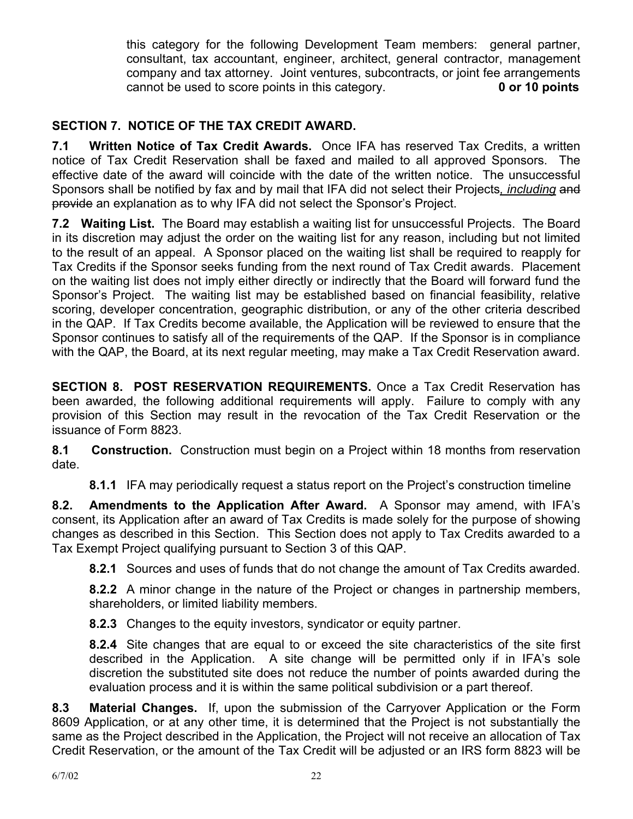this category for the following Development Team members: general partner, consultant, tax accountant, engineer, architect, general contractor, management company and tax attorney. Joint ventures, subcontracts, or joint fee arrangements cannot be used to score points in this category. **0 or 10 points** 

# **SECTION 7. NOTICE OF THE TAX CREDIT AWARD.**

**7.1 Written Notice of Tax Credit Awards.** Once IFA has reserved Tax Credits, a written notice of Tax Credit Reservation shall be faxed and mailed to all approved Sponsors. The effective date of the award will coincide with the date of the written notice. The unsuccessful Sponsors shall be notified by fax and by mail that IFA did not select their Projects*, including* and provide an explanation as to why IFA did not select the Sponsor's Project.

**7.2 Waiting List.** The Board may establish a waiting list for unsuccessful Projects. The Board in its discretion may adjust the order on the waiting list for any reason, including but not limited to the result of an appeal. A Sponsor placed on the waiting list shall be required to reapply for Tax Credits if the Sponsor seeks funding from the next round of Tax Credit awards. Placement on the waiting list does not imply either directly or indirectly that the Board will forward fund the Sponsor's Project. The waiting list may be established based on financial feasibility, relative scoring, developer concentration, geographic distribution, or any of the other criteria described in the QAP. If Tax Credits become available, the Application will be reviewed to ensure that the Sponsor continues to satisfy all of the requirements of the QAP. If the Sponsor is in compliance with the QAP, the Board, at its next regular meeting, may make a Tax Credit Reservation award.

**SECTION 8. POST RESERVATION REQUIREMENTS.** Once a Tax Credit Reservation has been awarded, the following additional requirements will apply. Failure to comply with any provision of this Section may result in the revocation of the Tax Credit Reservation or the issuance of Form 8823.

**8.1 Construction.** Construction must begin on a Project within 18 months from reservation date.

**8.1.1** IFA may periodically request a status report on the Project's construction timeline

**8.2. Amendments to the Application After Award.** A Sponsor may amend, with IFA's consent, its Application after an award of Tax Credits is made solely for the purpose of showing changes as described in this Section. This Section does not apply to Tax Credits awarded to a Tax Exempt Project qualifying pursuant to Section 3 of this QAP.

**8.2.1** Sources and uses of funds that do not change the amount of Tax Credits awarded.

**8.2.2** A minor change in the nature of the Project or changes in partnership members, shareholders, or limited liability members.

**8.2.3** Changes to the equity investors, syndicator or equity partner.

**8.2.4** Site changes that are equal to or exceed the site characteristics of the site first described in the Application. A site change will be permitted only if in IFA's sole discretion the substituted site does not reduce the number of points awarded during the evaluation process and it is within the same political subdivision or a part thereof.

**8.3 Material Changes.** If, upon the submission of the Carryover Application or the Form 8609 Application, or at any other time, it is determined that the Project is not substantially the same as the Project described in the Application, the Project will not receive an allocation of Tax Credit Reservation, or the amount of the Tax Credit will be adjusted or an IRS form 8823 will be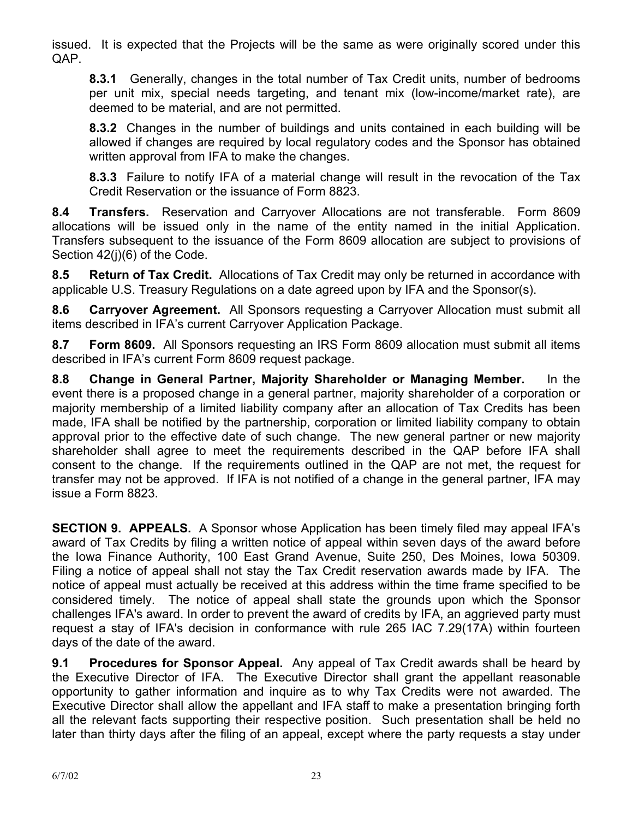issued. It is expected that the Projects will be the same as were originally scored under this QAP.

**8.3.1** Generally, changes in the total number of Tax Credit units, number of bedrooms per unit mix, special needs targeting, and tenant mix (low-income/market rate), are deemed to be material, and are not permitted.

**8.3.2** Changes in the number of buildings and units contained in each building will be allowed if changes are required by local regulatory codes and the Sponsor has obtained written approval from IFA to make the changes.

**8.3.3** Failure to notify IFA of a material change will result in the revocation of the Tax Credit Reservation or the issuance of Form 8823.

**8.4 Transfers.** Reservation and Carryover Allocations are not transferable. Form 8609 allocations will be issued only in the name of the entity named in the initial Application. Transfers subsequent to the issuance of the Form 8609 allocation are subject to provisions of Section 42(j)(6) of the Code.

**8.5 Return of Tax Credit.** Allocations of Tax Credit may only be returned in accordance with applicable U.S. Treasury Regulations on a date agreed upon by IFA and the Sponsor(s).

**8.6 Carryover Agreement.** All Sponsors requesting a Carryover Allocation must submit all items described in IFA's current Carryover Application Package.

**8.7 Form 8609.** All Sponsors requesting an IRS Form 8609 allocation must submit all items described in IFA's current Form 8609 request package.

**8.8 Change in General Partner, Majority Shareholder or Managing Member.** In the event there is a proposed change in a general partner, majority shareholder of a corporation or majority membership of a limited liability company after an allocation of Tax Credits has been made, IFA shall be notified by the partnership, corporation or limited liability company to obtain approval prior to the effective date of such change. The new general partner or new majority shareholder shall agree to meet the requirements described in the QAP before IFA shall consent to the change. If the requirements outlined in the QAP are not met, the request for transfer may not be approved. If IFA is not notified of a change in the general partner, IFA may issue a Form 8823.

**SECTION 9. APPEALS.** A Sponsor whose Application has been timely filed may appeal IFA's award of Tax Credits by filing a written notice of appeal within seven days of the award before the Iowa Finance Authority, 100 East Grand Avenue, Suite 250, Des Moines, Iowa 50309. Filing a notice of appeal shall not stay the Tax Credit reservation awards made by IFA. The notice of appeal must actually be received at this address within the time frame specified to be considered timely. The notice of appeal shall state the grounds upon which the Sponsor challenges IFA's award. In order to prevent the award of credits by IFA, an aggrieved party must request a stay of IFA's decision in conformance with rule 265 IAC 7.29(17A) within fourteen days of the date of the award.

**9.1 Procedures for Sponsor Appeal.** Any appeal of Tax Credit awards shall be heard by the Executive Director of IFA. The Executive Director shall grant the appellant reasonable opportunity to gather information and inquire as to why Tax Credits were not awarded. The Executive Director shall allow the appellant and IFA staff to make a presentation bringing forth all the relevant facts supporting their respective position. Such presentation shall be held no later than thirty days after the filing of an appeal, except where the party requests a stay under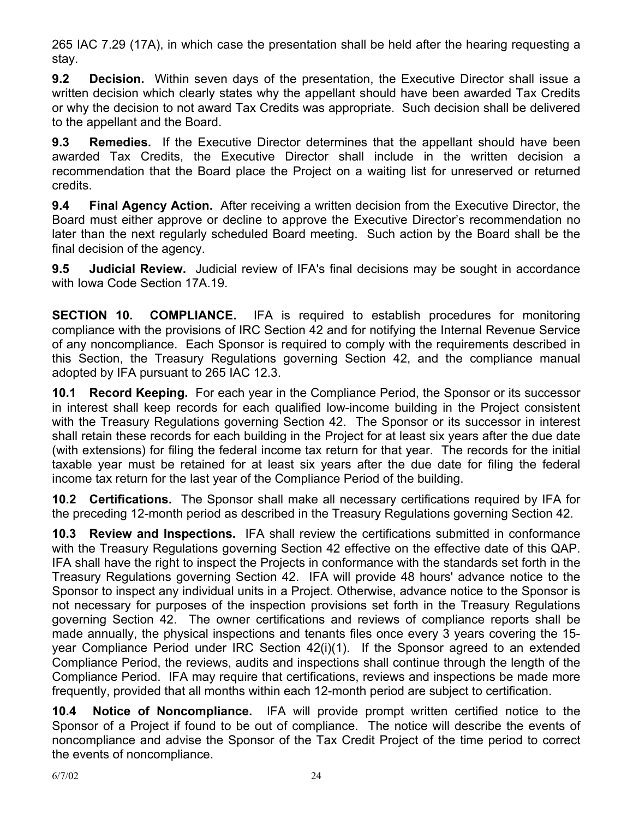265 IAC 7.29 (17A), in which case the presentation shall be held after the hearing requesting a stay.

**9.2 Decision.** Within seven days of the presentation, the Executive Director shall issue a written decision which clearly states why the appellant should have been awarded Tax Credits or why the decision to not award Tax Credits was appropriate. Such decision shall be delivered to the appellant and the Board.

**9.3 Remedies.** If the Executive Director determines that the appellant should have been awarded Tax Credits, the Executive Director shall include in the written decision a recommendation that the Board place the Project on a waiting list for unreserved or returned credits.

**9.4 Final Agency Action.** After receiving a written decision from the Executive Director, the Board must either approve or decline to approve the Executive Director's recommendation no later than the next regularly scheduled Board meeting. Such action by the Board shall be the final decision of the agency.

**9.5 Judicial Review.** Judicial review of IFA's final decisions may be sought in accordance with Iowa Code Section 17A.19.

**SECTION 10. COMPLIANCE.** IFA is required to establish procedures for monitoring compliance with the provisions of IRC Section 42 and for notifying the Internal Revenue Service of any noncompliance. Each Sponsor is required to comply with the requirements described in this Section, the Treasury Regulations governing Section 42, and the compliance manual adopted by IFA pursuant to 265 IAC 12.3.

**10.1 Record Keeping.** For each year in the Compliance Period, the Sponsor or its successor in interest shall keep records for each qualified low-income building in the Project consistent with the Treasury Regulations governing Section 42. The Sponsor or its successor in interest shall retain these records for each building in the Project for at least six years after the due date (with extensions) for filing the federal income tax return for that year. The records for the initial taxable year must be retained for at least six years after the due date for filing the federal income tax return for the last year of the Compliance Period of the building.

**10.2 Certifications.** The Sponsor shall make all necessary certifications required by IFA for the preceding 12-month period as described in the Treasury Regulations governing Section 42.

**10.3 Review and Inspections.** IFA shall review the certifications submitted in conformance with the Treasury Regulations governing Section 42 effective on the effective date of this QAP. IFA shall have the right to inspect the Projects in conformance with the standards set forth in the Treasury Regulations governing Section 42. IFA will provide 48 hours' advance notice to the Sponsor to inspect any individual units in a Project. Otherwise, advance notice to the Sponsor is not necessary for purposes of the inspection provisions set forth in the Treasury Regulations governing Section 42. The owner certifications and reviews of compliance reports shall be made annually, the physical inspections and tenants files once every 3 years covering the 15 year Compliance Period under IRC Section 42(i)(1). If the Sponsor agreed to an extended Compliance Period, the reviews, audits and inspections shall continue through the length of the Compliance Period. IFA may require that certifications, reviews and inspections be made more frequently, provided that all months within each 12-month period are subject to certification.

**10.4 Notice of Noncompliance.** IFA will provide prompt written certified notice to the Sponsor of a Project if found to be out of compliance. The notice will describe the events of noncompliance and advise the Sponsor of the Tax Credit Project of the time period to correct the events of noncompliance.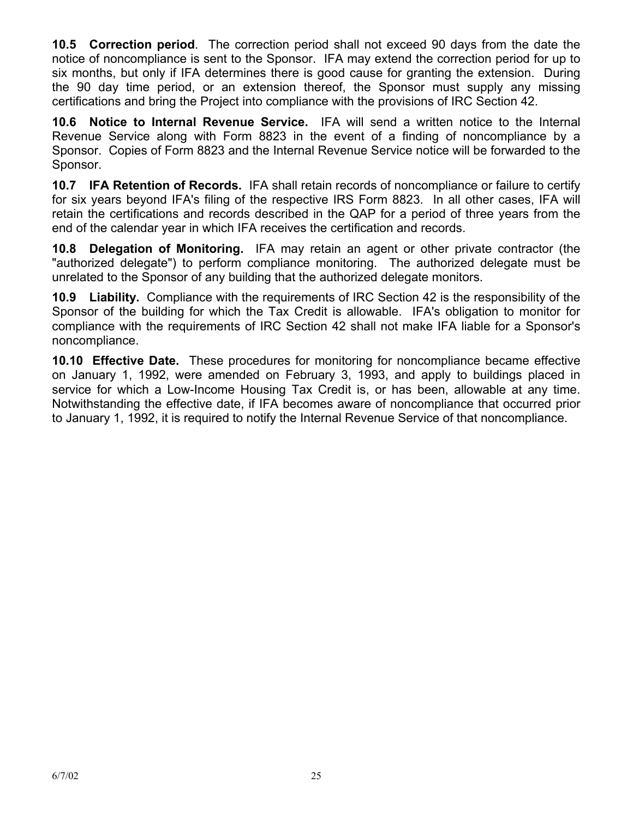**10.5 Correction period**. The correction period shall not exceed 90 days from the date the notice of noncompliance is sent to the Sponsor. IFA may extend the correction period for up to six months, but only if IFA determines there is good cause for granting the extension. During the 90 day time period, or an extension thereof, the Sponsor must supply any missing certifications and bring the Project into compliance with the provisions of IRC Section 42.

**10.6 Notice to Internal Revenue Service.** IFA will send a written notice to the Internal Revenue Service along with Form 8823 in the event of a finding of noncompliance by a Sponsor. Copies of Form 8823 and the Internal Revenue Service notice will be forwarded to the Sponsor.

**10.7 IFA Retention of Records.** IFA shall retain records of noncompliance or failure to certify for six years beyond IFA's filing of the respective IRS Form 8823. In all other cases, IFA will retain the certifications and records described in the QAP for a period of three years from the end of the calendar year in which IFA receives the certification and records.

**10.8 Delegation of Monitoring.** IFA may retain an agent or other private contractor (the "authorized delegate") to perform compliance monitoring. The authorized delegate must be unrelated to the Sponsor of any building that the authorized delegate monitors.

**10.9 Liability.** Compliance with the requirements of IRC Section 42 is the responsibility of the Sponsor of the building for which the Tax Credit is allowable. IFA's obligation to monitor for compliance with the requirements of IRC Section 42 shall not make IFA liable for a Sponsor's noncompliance.

**10.10 Effective Date.** These procedures for monitoring for noncompliance became effective on January 1, 1992, were amended on February 3, 1993, and apply to buildings placed in service for which a Low-Income Housing Tax Credit is, or has been, allowable at any time. Notwithstanding the effective date, if IFA becomes aware of noncompliance that occurred prior to January 1, 1992, it is required to notify the Internal Revenue Service of that noncompliance.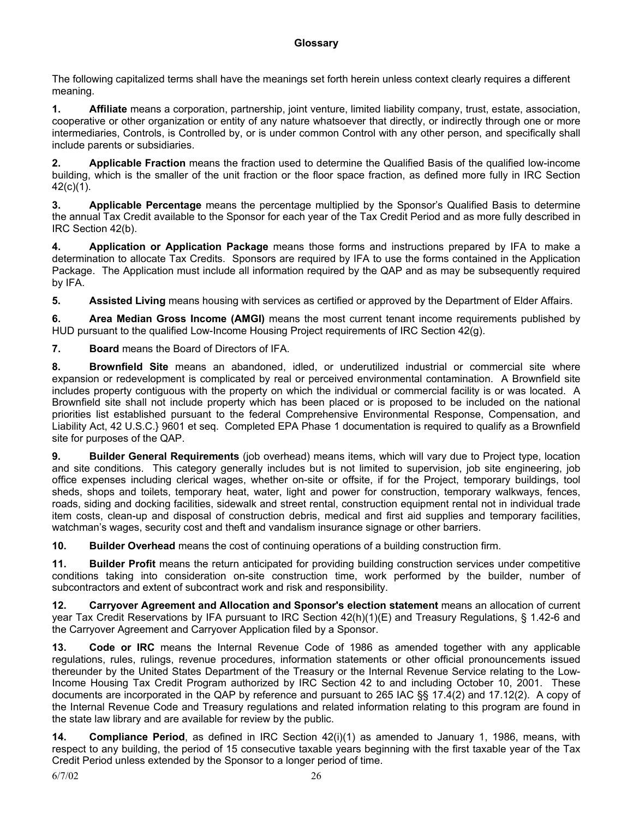The following capitalized terms shall have the meanings set forth herein unless context clearly requires a different meaning.

**1. Affiliate** means a corporation, partnership, joint venture, limited liability company, trust, estate, association, cooperative or other organization or entity of any nature whatsoever that directly, or indirectly through one or more intermediaries, Controls, is Controlled by, or is under common Control with any other person, and specifically shall include parents or subsidiaries.

**2. Applicable Fraction** means the fraction used to determine the Qualified Basis of the qualified low-income building, which is the smaller of the unit fraction or the floor space fraction, as defined more fully in IRC Section 42(c)(1).

**3. Applicable Percentage** means the percentage multiplied by the Sponsor's Qualified Basis to determine the annual Tax Credit available to the Sponsor for each year of the Tax Credit Period and as more fully described in IRC Section 42(b).

**4. Application or Application Package** means those forms and instructions prepared by IFA to make a determination to allocate Tax Credits. Sponsors are required by IFA to use the forms contained in the Application Package. The Application must include all information required by the QAP and as may be subsequently required by IFA.

**5.** Assisted Living means housing with services as certified or approved by the Department of Elder Affairs.

**6. Area Median Gross Income (AMGI)** means the most current tenant income requirements published by HUD pursuant to the qualified Low-Income Housing Project requirements of IRC Section 42(g).

**7. Board** means the Board of Directors of IFA.

**8. Brownfield Site** means an abandoned, idled, or underutilized industrial or commercial site where expansion or redevelopment is complicated by real or perceived environmental contamination. A Brownfield site includes property contiguous with the property on which the individual or commercial facility is or was located. A Brownfield site shall not include property which has been placed or is proposed to be included on the national priorities list established pursuant to the federal Comprehensive Environmental Response, Compensation, and Liability Act, 42 U.S.C.} 9601 et seq. Completed EPA Phase 1 documentation is required to qualify as a Brownfield site for purposes of the QAP.

**9. Builder General Requirements** (job overhead) means items, which will vary due to Project type, location and site conditions. This category generally includes but is not limited to supervision, job site engineering, job office expenses including clerical wages, whether on-site or offsite, if for the Project, temporary buildings, tool sheds, shops and toilets, temporary heat, water, light and power for construction, temporary walkways, fences, roads, siding and docking facilities, sidewalk and street rental, construction equipment rental not in individual trade item costs, clean-up and disposal of construction debris, medical and first aid supplies and temporary facilities, watchman's wages, security cost and theft and vandalism insurance signage or other barriers.

**10. Builder Overhead** means the cost of continuing operations of a building construction firm.

**11. Builder Profit** means the return anticipated for providing building construction services under competitive conditions taking into consideration on-site construction time, work performed by the builder, number of subcontractors and extent of subcontract work and risk and responsibility.

**12. Carryover Agreement and Allocation and Sponsor's election statement** means an allocation of current year Tax Credit Reservations by IFA pursuant to IRC Section 42(h)(1)(E) and Treasury Regulations, § 1.42-6 and the Carryover Agreement and Carryover Application filed by a Sponsor.

**13. Code or IRC** means the Internal Revenue Code of 1986 as amended together with any applicable regulations, rules, rulings, revenue procedures, information statements or other official pronouncements issued thereunder by the United States Department of the Treasury or the Internal Revenue Service relating to the Low-Income Housing Tax Credit Program authorized by IRC Section 42 to and including October 10, 2001. These documents are incorporated in the QAP by reference and pursuant to 265 IAC §§ 17.4(2) and 17.12(2). A copy of the Internal Revenue Code and Treasury regulations and related information relating to this program are found in the state law library and are available for review by the public.

**14. Compliance Period**, as defined in IRC Section 42(i)(1) as amended to January 1, 1986, means, with respect to any building, the period of 15 consecutive taxable years beginning with the first taxable year of the Tax Credit Period unless extended by the Sponsor to a longer period of time.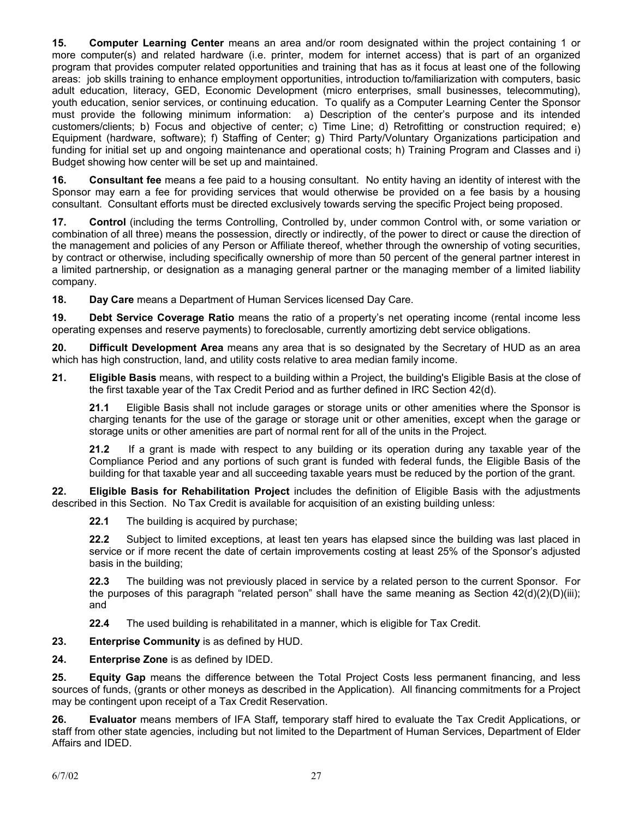**15. Computer Learning Center** means an area and/or room designated within the project containing 1 or more computer(s) and related hardware (i.e. printer, modem for internet access) that is part of an organized program that provides computer related opportunities and training that has as it focus at least one of the following areas: job skills training to enhance employment opportunities, introduction to/familiarization with computers, basic adult education, literacy, GED, Economic Development (micro enterprises, small businesses, telecommuting), youth education, senior services, or continuing education. To qualify as a Computer Learning Center the Sponsor must provide the following minimum information: a) Description of the center's purpose and its intended customers/clients; b) Focus and objective of center; c) Time Line; d) Retrofitting or construction required; e) Equipment (hardware, software); f) Staffing of Center; g) Third Party/Voluntary Organizations participation and funding for initial set up and ongoing maintenance and operational costs; h) Training Program and Classes and i) Budget showing how center will be set up and maintained.

**16. Consultant fee** means a fee paid to a housing consultant. No entity having an identity of interest with the Sponsor may earn a fee for providing services that would otherwise be provided on a fee basis by a housing consultant. Consultant efforts must be directed exclusively towards serving the specific Project being proposed.

**17. Control** (including the terms Controlling, Controlled by, under common Control with, or some variation or combination of all three) means the possession, directly or indirectly, of the power to direct or cause the direction of the management and policies of any Person or Affiliate thereof, whether through the ownership of voting securities, by contract or otherwise, including specifically ownership of more than 50 percent of the general partner interest in a limited partnership, or designation as a managing general partner or the managing member of a limited liability company.

**18. Day Care** means a Department of Human Services licensed Day Care.

**19. Debt Service Coverage Ratio** means the ratio of a property's net operating income (rental income less operating expenses and reserve payments) to foreclosable, currently amortizing debt service obligations.

**20. Difficult Development Area** means any area that is so designated by the Secretary of HUD as an area which has high construction, land, and utility costs relative to area median family income.

**21. Eligible Basis** means, with respect to a building within a Project, the building's Eligible Basis at the close of the first taxable year of the Tax Credit Period and as further defined in IRC Section 42(d).

**21.1** Eligible Basis shall not include garages or storage units or other amenities where the Sponsor is charging tenants for the use of the garage or storage unit or other amenities, except when the garage or storage units or other amenities are part of normal rent for all of the units in the Project.

**21.2** If a grant is made with respect to any building or its operation during any taxable year of the Compliance Period and any portions of such grant is funded with federal funds, the Eligible Basis of the building for that taxable year and all succeeding taxable years must be reduced by the portion of the grant.

**22. Eligible Basis for Rehabilitation Project** includes the definition of Eligible Basis with the adjustments described in this Section. No Tax Credit is available for acquisition of an existing building unless:

**22.1** The building is acquired by purchase;

**22.2** Subject to limited exceptions, at least ten years has elapsed since the building was last placed in service or if more recent the date of certain improvements costing at least 25% of the Sponsor's adjusted basis in the building;

**22.3** The building was not previously placed in service by a related person to the current Sponsor. For the purposes of this paragraph "related person" shall have the same meaning as Section  $42(d)(2)(D)(iii)$ ; and

**22.4** The used building is rehabilitated in a manner, which is eligible for Tax Credit.

**23. Enterprise Community** is as defined by HUD.

**24. Enterprise Zone** is as defined by IDED.

**25. Equity Gap** means the difference between the Total Project Costs less permanent financing, and less sources of funds, (grants or other moneys as described in the Application). All financing commitments for a Project may be contingent upon receipt of a Tax Credit Reservation.

**26. Evaluator** means members of IFA Staff*,* temporary staff hired to evaluate the Tax Credit Applications, or staff from other state agencies, including but not limited to the Department of Human Services, Department of Elder Affairs and IDED.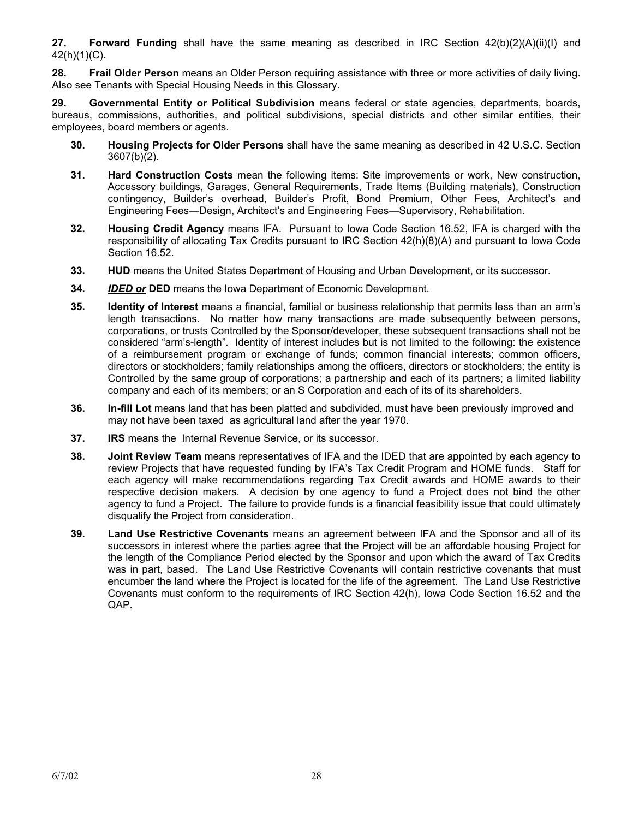**27. Forward Funding** shall have the same meaning as described in IRC Section 42(b)(2)(A)(ii)(I) and 42(h)(1)(C).

**28. Frail Older Person** means an Older Person requiring assistance with three or more activities of daily living. Also see Tenants with Special Housing Needs in this Glossary.

**29. Governmental Entity or Political Subdivision** means federal or state agencies, departments, boards, bureaus, commissions, authorities, and political subdivisions, special districts and other similar entities, their employees, board members or agents.

- **30. Housing Projects for Older Persons** shall have the same meaning as described in 42 U.S.C. Section 3607(b)(2).
- **31. Hard Construction Costs** mean the following items: Site improvements or work, New construction, Accessory buildings, Garages, General Requirements, Trade Items (Building materials), Construction contingency, Builder's overhead, Builder's Profit, Bond Premium, Other Fees, Architect's and Engineering Fees—Design, Architect's and Engineering Fees—Supervisory, Rehabilitation.
- **32. Housing Credit Agency** means IFA. Pursuant to Iowa Code Section 16.52, IFA is charged with the responsibility of allocating Tax Credits pursuant to IRC Section 42(h)(8)(A) and pursuant to Iowa Code Section 16.52.
- **33. HUD** means the United States Department of Housing and Urban Development, or its successor.
- **34.** *IDED or* **DED** means the Iowa Department of Economic Development.
- **35. Identity of Interest** means a financial, familial or business relationship that permits less than an arm's length transactions. No matter how many transactions are made subsequently between persons, corporations, or trusts Controlled by the Sponsor/developer, these subsequent transactions shall not be considered "arm's-length". Identity of interest includes but is not limited to the following: the existence of a reimbursement program or exchange of funds; common financial interests; common officers, directors or stockholders; family relationships among the officers, directors or stockholders; the entity is Controlled by the same group of corporations; a partnership and each of its partners; a limited liability company and each of its members; or an S Corporation and each of its of its shareholders.
- **36. In-fill Lot** means land that has been platted and subdivided, must have been previously improved and may not have been taxed as agricultural land after the year 1970.
- **37. IRS** means the Internal Revenue Service, or its successor.
- **38. Joint Review Team** means representatives of IFA and the IDED that are appointed by each agency to review Projects that have requested funding by IFA's Tax Credit Program and HOME funds. Staff for each agency will make recommendations regarding Tax Credit awards and HOME awards to their respective decision makers. A decision by one agency to fund a Project does not bind the other agency to fund a Project. The failure to provide funds is a financial feasibility issue that could ultimately disqualify the Project from consideration.
- **39. Land Use Restrictive Covenants** means an agreement between IFA and the Sponsor and all of its successors in interest where the parties agree that the Project will be an affordable housing Project for the length of the Compliance Period elected by the Sponsor and upon which the award of Tax Credits was in part, based. The Land Use Restrictive Covenants will contain restrictive covenants that must encumber the land where the Project is located for the life of the agreement. The Land Use Restrictive Covenants must conform to the requirements of IRC Section 42(h), Iowa Code Section 16.52 and the QAP.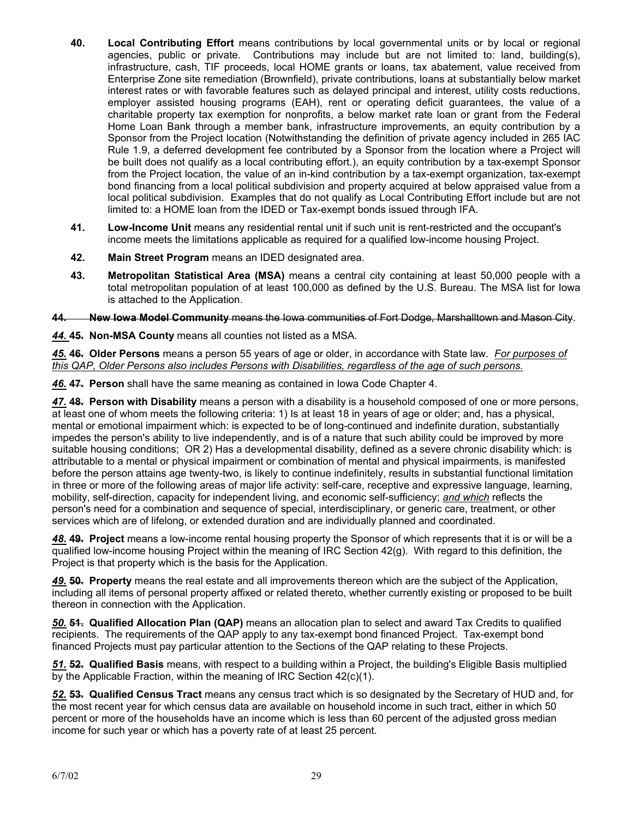- **40. Local Contributing Effort** means contributions by local governmental units or by local or regional agencies, public or private. Contributions may include but are not limited to: land, building(s), infrastructure, cash, TIF proceeds, local HOME grants or loans, tax abatement, value received from Enterprise Zone site remediation (Brownfield), private contributions, loans at substantially below market interest rates or with favorable features such as delayed principal and interest, utility costs reductions, employer assisted housing programs (EAH), rent or operating deficit guarantees, the value of a charitable property tax exemption for nonprofits, a below market rate loan or grant from the Federal Home Loan Bank through a member bank, infrastructure improvements, an equity contribution by a Sponsor from the Project location (Notwithstanding the definition of private agency included in 265 IAC Rule 1.9, a deferred development fee contributed by a Sponsor from the location where a Project will be built does not qualify as a local contributing effort.), an equity contribution by a tax-exempt Sponsor from the Project location, the value of an in-kind contribution by a tax-exempt organization, tax-exempt bond financing from a local political subdivision and property acquired at below appraised value from a local political subdivision. Examples that do not qualify as Local Contributing Effort include but are not limited to: a HOME loan from the IDED or Tax-exempt bonds issued through IFA.
- **41. Low-Income Unit** means any residential rental unit if such unit is rent-restricted and the occupant's income meets the limitations applicable as required for a qualified low-income housing Project.
- **42. Main Street Program** means an IDED designated area.
- **43. Metropolitan Statistical Area (MSA)** means a central city containing at least 50,000 people with a total metropolitan population of at least 100,000 as defined by the U.S. Bureau. The MSA list for Iowa is attached to the Application.

**44. New Iowa Model Community** means the Iowa communities of Fort Dodge, Marshalltown and Mason City.

*44.* **45. Non-MSA County** means all counties not listed as a MSA.

*45.* **46. Older Persons** means a person 55 years of age or older, in accordance with State law. *For purposes of this QAP, Older Persons also includes Persons with Disabilities, regardless of the age of such persons.*

*46.* **47. Person** shall have the same meaning as contained in Iowa Code Chapter 4.

*47.* **48. Person with Disability** means a person with a disability is a household composed of one or more persons, at least one of whom meets the following criteria: 1) Is at least 18 in years of age or older; and, has a physical, mental or emotional impairment which: is expected to be of long-continued and indefinite duration, substantially impedes the person's ability to live independently, and is of a nature that such ability could be improved by more suitable housing conditions; OR 2) Has a developmental disability, defined as a severe chronic disability which: is attributable to a mental or physical impairment or combination of mental and physical impairments, is manifested before the person attains age twenty-two, is likely to continue indefinitely, results in substantial functional limitation in three or more of the following areas of major life activity: self-care, receptive and expressive language, learning, mobility, self-direction, capacity for independent living, and economic self-sufficiency; *and which* reflects the person's need for a combination and sequence of special, interdisciplinary, or generic care, treatment, or other services which are of lifelong, or extended duration and are individually planned and coordinated.

*48.* **49. Project** means a low-income rental housing property the Sponsor of which represents that it is or will be a qualified low-income housing Project within the meaning of IRC Section 42(g). With regard to this definition, the Project is that property which is the basis for the Application.

*49.* **50. Property** means the real estate and all improvements thereon which are the subject of the Application, including all items of personal property affixed or related thereto, whether currently existing or proposed to be built thereon in connection with the Application.

*50.* **51. Qualified Allocation Plan (QAP)** means an allocation plan to select and award Tax Credits to qualified recipients. The requirements of the QAP apply to any tax-exempt bond financed Project. Tax-exempt bond financed Projects must pay particular attention to the Sections of the QAP relating to these Projects.

*51.* **52. Qualified Basis** means, with respect to a building within a Project, the building's Eligible Basis multiplied by the Applicable Fraction, within the meaning of IRC Section 42(c)(1).

*52.* **53. Qualified Census Tract** means any census tract which is so designated by the Secretary of HUD and, for the most recent year for which census data are available on household income in such tract, either in which 50 percent or more of the households have an income which is less than 60 percent of the adjusted gross median income for such year or which has a poverty rate of at least 25 percent.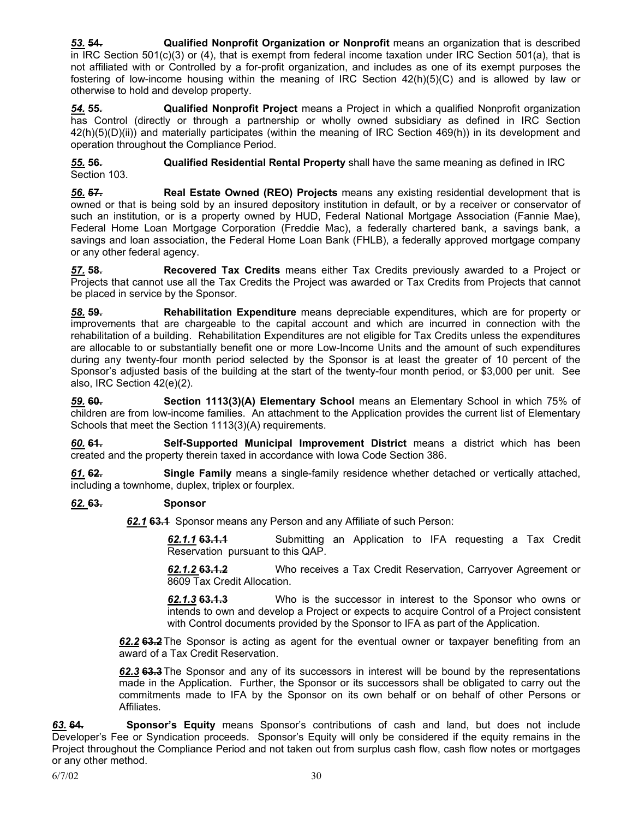*53.* **54. Qualified Nonprofit Organization or Nonprofit** means an organization that is described in IRC Section 501(c)(3) or (4), that is exempt from federal income taxation under IRC Section 501(a), that is not affiliated with or Controlled by a for-profit organization, and includes as one of its exempt purposes the fostering of low-income housing within the meaning of IRC Section 42(h)(5)(C) and is allowed by law or otherwise to hold and develop property.

*54.* **55. Qualified Nonprofit Project** means a Project in which a qualified Nonprofit organization has Control (directly or through a partnership or wholly owned subsidiary as defined in IRC Section 42(h)(5)(D)(ii)) and materially participates (within the meaning of IRC Section 469(h)) in its development and operation throughout the Compliance Period.

*55.* **56. Qualified Residential Rental Property** shall have the same meaning as defined in IRC Section 103.

*56.* **57. Real Estate Owned (REO) Projects** means any existing residential development that is owned or that is being sold by an insured depository institution in default, or by a receiver or conservator of such an institution, or is a property owned by HUD, Federal National Mortgage Association (Fannie Mae), Federal Home Loan Mortgage Corporation (Freddie Mac), a federally chartered bank, a savings bank, a savings and loan association, the Federal Home Loan Bank (FHLB), a federally approved mortgage company or any other federal agency.

*57.* **58. Recovered Tax Credits** means either Tax Credits previously awarded to a Project or Projects that cannot use all the Tax Credits the Project was awarded or Tax Credits from Projects that cannot be placed in service by the Sponsor.

*58.* **59. Rehabilitation Expenditure** means depreciable expenditures, which are for property or improvements that are chargeable to the capital account and which are incurred in connection with the rehabilitation of a building. Rehabilitation Expenditures are not eligible for Tax Credits unless the expenditures are allocable to or substantially benefit one or more Low-Income Units and the amount of such expenditures during any twenty-four month period selected by the Sponsor is at least the greater of 10 percent of the Sponsor's adjusted basis of the building at the start of the twenty-four month period, or \$3,000 per unit. See also, IRC Section 42(e)(2).

*59.* **60. Section 1113(3)(A) Elementary School** means an Elementary School in which 75% of children are from low-income families. An attachment to the Application provides the current list of Elementary Schools that meet the Section 1113(3)(A) requirements.

*60.* **61. Self-Supported Municipal Improvement District** means a district which has been created and the property therein taxed in accordance with Iowa Code Section 386.

*61.* **62. Single Family** means a single-family residence whether detached or vertically attached, including a townhome, duplex, triplex or fourplex.

#### *62.* **63. Sponsor**

*62.1* **63.1** Sponsor means any Person and any Affiliate of such Person:

*62.1.1* **63.1.1** Submitting an Application to IFA requesting a Tax Credit Reservation pursuant to this QAP.

*62.1.2* **63.1.2** Who receives a Tax Credit Reservation, Carryover Agreement or 8609 Tax Credit Allocation.

*62.1.3* **63.1.3** Who is the successor in interest to the Sponsor who owns or intends to own and develop a Project or expects to acquire Control of a Project consistent with Control documents provided by the Sponsor to IFA as part of the Application.

*62.2* **63.2**The Sponsor is acting as agent for the eventual owner or taxpayer benefiting from an award of a Tax Credit Reservation.

*62.3* **63.3**The Sponsor and any of its successors in interest will be bound by the representations made in the Application. Further, the Sponsor or its successors shall be obligated to carry out the commitments made to IFA by the Sponsor on its own behalf or on behalf of other Persons or Affiliates.

*63.* **64. Sponsor's Equity** means Sponsor's contributions of cash and land, but does not include Developer's Fee or Syndication proceeds. Sponsor's Equity will only be considered if the equity remains in the Project throughout the Compliance Period and not taken out from surplus cash flow, cash flow notes or mortgages or any other method.